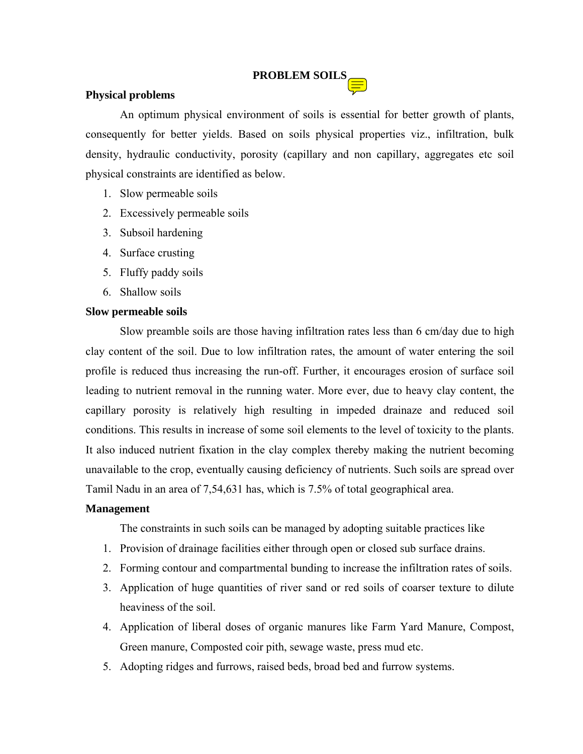# **PROBLEM SOILS**

# **Physical problems**

 An optimum physical environment of soils is essential for better growth of plants, consequently for better yields. Based on soils physical properties viz., infiltration, bulk density, hydraulic conductivity, porosity (capillary and non capillary, aggregates etc soil physical constraints are identified as below.

- 1. Slow permeable soils
- 2. Excessively permeable soils
- 3. Subsoil hardening
- 4. Surface crusting
- 5. Fluffy paddy soils
- 6. Shallow soils

## **Slow permeable soils**

 Slow preamble soils are those having infiltration rates less than 6 cm/day due to high clay content of the soil. Due to low infiltration rates, the amount of water entering the soil profile is reduced thus increasing the run-off. Further, it encourages erosion of surface soil leading to nutrient removal in the running water. More ever, due to heavy clay content, the capillary porosity is relatively high resulting in impeded drainaze and reduced soil conditions. This results in increase of some soil elements to the level of toxicity to the plants. It also induced nutrient fixation in the clay complex thereby making the nutrient becoming unavailable to the crop, eventually causing deficiency of nutrients. Such soils are spread over Tamil Nadu in an area of 7,54,631 has, which is 7.5% of total geographical area.

# **Management**

The constraints in such soils can be managed by adopting suitable practices like

- 1. Provision of drainage facilities either through open or closed sub surface drains.
- 2. Forming contour and compartmental bunding to increase the infiltration rates of soils.
- 3. Application of huge quantities of river sand or red soils of coarser texture to dilute heaviness of the soil.
- 4. Application of liberal doses of organic manures like Farm Yard Manure, Compost, Green manure, Composted coir pith, sewage waste, press mud etc.
- 5. Adopting ridges and furrows, raised beds, broad bed and furrow systems.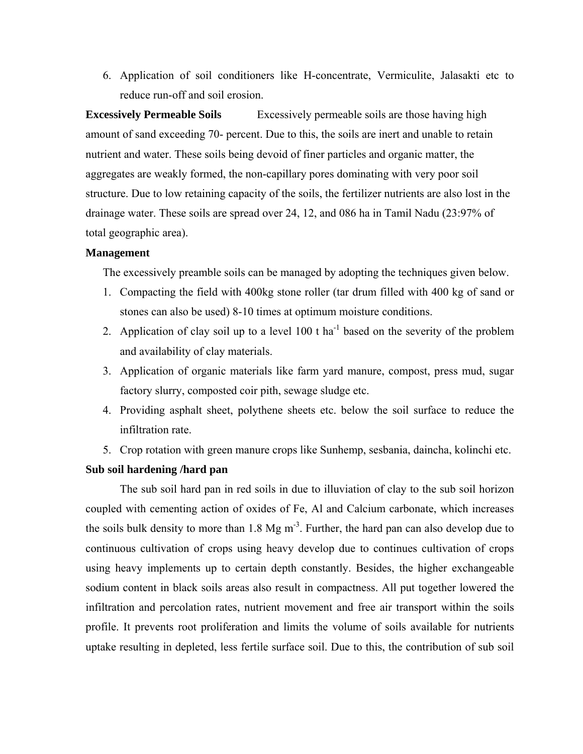6. Application of soil conditioners like H-concentrate, Vermiculite, Jalasakti etc to reduce run-off and soil erosion.

**Excessively Permeable Soils** Excessively permeable soils are those having high amount of sand exceeding 70- percent. Due to this, the soils are inert and unable to retain nutrient and water. These soils being devoid of finer particles and organic matter, the aggregates are weakly formed, the non-capillary pores dominating with very poor soil structure. Due to low retaining capacity of the soils, the fertilizer nutrients are also lost in the drainage water. These soils are spread over 24, 12, and 086 ha in Tamil Nadu (23:97% of total geographic area).

#### **Management**

The excessively preamble soils can be managed by adopting the techniques given below.

- 1. Compacting the field with 400kg stone roller (tar drum filled with 400 kg of sand or stones can also be used) 8-10 times at optimum moisture conditions.
- 2. Application of clay soil up to a level  $100$  t ha<sup>-1</sup> based on the severity of the problem and availability of clay materials.
- 3. Application of organic materials like farm yard manure, compost, press mud, sugar factory slurry, composted coir pith, sewage sludge etc.
- 4. Providing asphalt sheet, polythene sheets etc. below the soil surface to reduce the infiltration rate.
- 5. Crop rotation with green manure crops like Sunhemp, sesbania, daincha, kolinchi etc.

#### **Sub soil hardening /hard pan**

The sub soil hard pan in red soils in due to illuviation of clay to the sub soil horizon coupled with cementing action of oxides of Fe, Al and Calcium carbonate, which increases the soils bulk density to more than  $1.8 \text{ Mg m}^{-3}$ . Further, the hard pan can also develop due to continuous cultivation of crops using heavy develop due to continues cultivation of crops using heavy implements up to certain depth constantly. Besides, the higher exchangeable sodium content in black soils areas also result in compactness. All put together lowered the infiltration and percolation rates, nutrient movement and free air transport within the soils profile. It prevents root proliferation and limits the volume of soils available for nutrients uptake resulting in depleted, less fertile surface soil. Due to this, the contribution of sub soil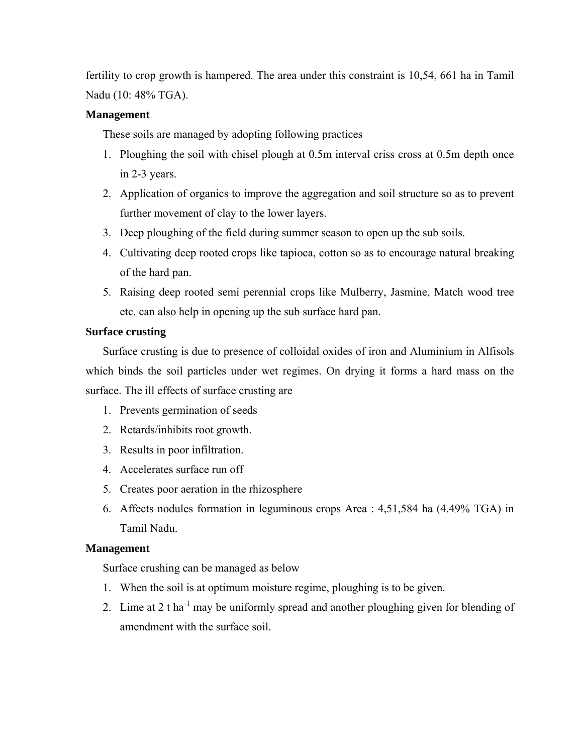fertility to crop growth is hampered. The area under this constraint is 10,54, 661 ha in Tamil Nadu (10: 48% TGA).

# **Management**

These soils are managed by adopting following practices

- 1. Ploughing the soil with chisel plough at 0.5m interval criss cross at 0.5m depth once in 2-3 years.
- 2. Application of organics to improve the aggregation and soil structure so as to prevent further movement of clay to the lower layers.
- 3. Deep ploughing of the field during summer season to open up the sub soils.
- 4. Cultivating deep rooted crops like tapioca, cotton so as to encourage natural breaking of the hard pan.
- 5. Raising deep rooted semi perennial crops like Mulberry, Jasmine, Match wood tree etc. can also help in opening up the sub surface hard pan.

# **Surface crusting**

Surface crusting is due to presence of colloidal oxides of iron and Aluminium in Alfisols which binds the soil particles under wet regimes. On drying it forms a hard mass on the surface. The ill effects of surface crusting are

- 1. Prevents germination of seeds
- 2. Retards/inhibits root growth.
- 3. Results in poor infiltration.
- 4. Accelerates surface run off
- 5. Creates poor aeration in the rhizosphere
- 6. Affects nodules formation in leguminous crops Area : 4,51,584 ha (4.49% TGA) in Tamil Nadu.

# **Management**

Surface crushing can be managed as below

- 1. When the soil is at optimum moisture regime, ploughing is to be given.
- 2. Lime at 2 t ha<sup>-1</sup> may be uniformly spread and another ploughing given for blending of amendment with the surface soil.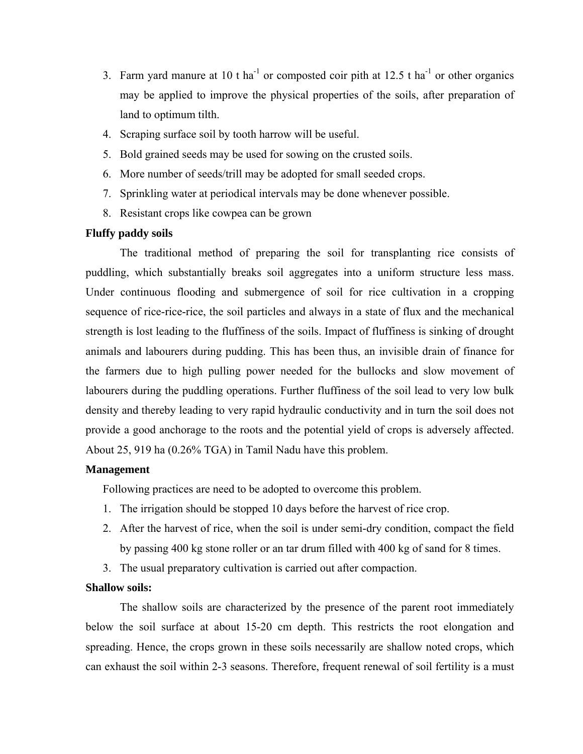- 3. Farm yard manure at 10 t ha<sup>-1</sup> or composted coir pith at 12.5 t ha<sup>-1</sup> or other organics may be applied to improve the physical properties of the soils, after preparation of land to optimum tilth.
- 4. Scraping surface soil by tooth harrow will be useful.
- 5. Bold grained seeds may be used for sowing on the crusted soils.
- 6. More number of seeds/trill may be adopted for small seeded crops.
- 7. Sprinkling water at periodical intervals may be done whenever possible.
- 8. Resistant crops like cowpea can be grown

# **Fluffy paddy soils**

The traditional method of preparing the soil for transplanting rice consists of puddling, which substantially breaks soil aggregates into a uniform structure less mass. Under continuous flooding and submergence of soil for rice cultivation in a cropping sequence of rice-rice-rice, the soil particles and always in a state of flux and the mechanical strength is lost leading to the fluffiness of the soils. Impact of fluffiness is sinking of drought animals and labourers during pudding. This has been thus, an invisible drain of finance for the farmers due to high pulling power needed for the bullocks and slow movement of labourers during the puddling operations. Further fluffiness of the soil lead to very low bulk density and thereby leading to very rapid hydraulic conductivity and in turn the soil does not provide a good anchorage to the roots and the potential yield of crops is adversely affected. About 25, 919 ha (0.26% TGA) in Tamil Nadu have this problem.

# **Management**

Following practices are need to be adopted to overcome this problem.

- 1. The irrigation should be stopped 10 days before the harvest of rice crop.
- 2. After the harvest of rice, when the soil is under semi-dry condition, compact the field by passing 400 kg stone roller or an tar drum filled with 400 kg of sand for 8 times.
- 3. The usual preparatory cultivation is carried out after compaction.

# **Shallow soils:**

 The shallow soils are characterized by the presence of the parent root immediately below the soil surface at about 15-20 cm depth. This restricts the root elongation and spreading. Hence, the crops grown in these soils necessarily are shallow noted crops, which can exhaust the soil within 2-3 seasons. Therefore, frequent renewal of soil fertility is a must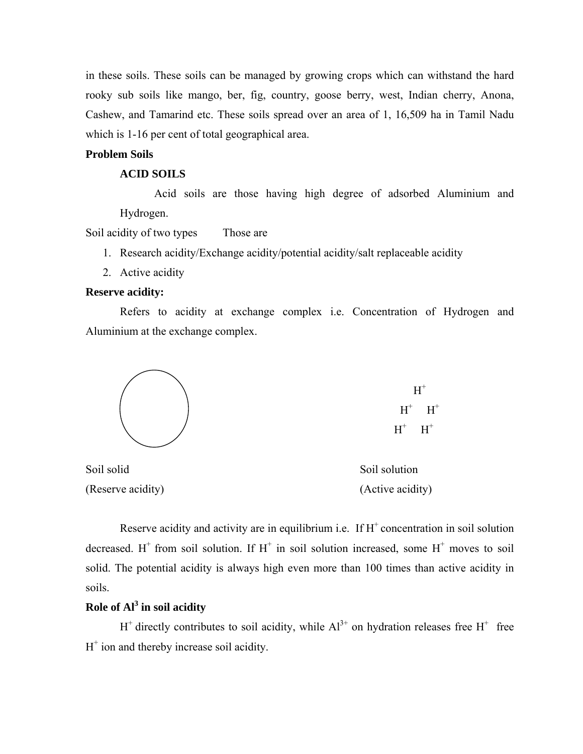in these soils. These soils can be managed by growing crops which can withstand the hard rooky sub soils like mango, ber, fig, country, goose berry, west, Indian cherry, Anona, Cashew, and Tamarind etc. These soils spread over an area of 1, 16,509 ha in Tamil Nadu which is 1-16 per cent of total geographical area.

# **Problem Soils**

#### **ACID SOILS**

Acid soils are those having high degree of adsorbed Aluminium and Hydrogen.

Soil acidity of two types Those are

- 1. Research acidity/Exchange acidity/potential acidity/salt replaceable acidity
- 2. Active acidity

#### **Reserve acidity:**

Refers to acidity at exchange complex i.e. Concentration of Hydrogen and Aluminium at the exchange complex.



Soil solid Soil solution (Reserve acidity) (Active acidity)

Reserve acidity and activity are in equilibrium i.e. If  $H^+$  concentration in soil solution decreased. H<sup>+</sup> from soil solution. If H<sup>+</sup> in soil solution increased, some H<sup>+</sup> moves to soil solid. The potential acidity is always high even more than 100 times than active acidity in soils.

# **Role of Al3 in soil acidity**

 $H^+$  directly contributes to soil acidity, while  $Al^{3+}$  on hydration releases free  $H^+$  free  $H^+$  ion and thereby increase soil acidity.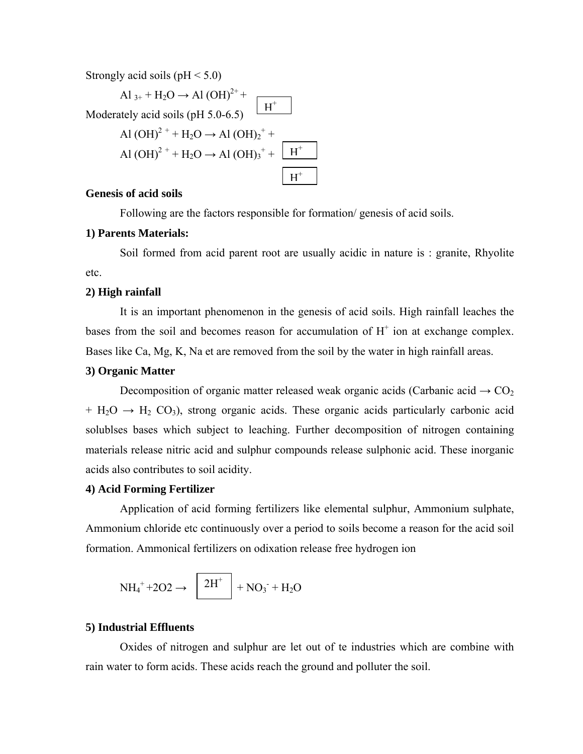Strongly acid soils ( $pH < 5.0$ )

$$
Al_{3+} + H_2O \rightarrow Al(OH)^{2+} +
$$
  
Modernately acid soils (pH 5.0-6.5)  
Al(OH)<sup>2+</sup> + H<sub>2</sub>O  $\rightarrow$  Al(OH)<sub>2</sub><sup>+</sup> +  
Al(OH)<sup>2+</sup> + H<sub>2</sub>O  $\rightarrow$  Al(OH)<sub>3</sub><sup>+</sup> +  $\boxed{H^+}$ 

### **Genesis of acid soils**

Following are the factors responsible for formation/ genesis of acid soils.

### **1) Parents Materials:**

Soil formed from acid parent root are usually acidic in nature is : granite, Rhyolite etc.

#### **2) High rainfall**

It is an important phenomenon in the genesis of acid soils. High rainfall leaches the bases from the soil and becomes reason for accumulation of  $H^+$  ion at exchange complex. Bases like Ca, Mg, K, Na et are removed from the soil by the water in high rainfall areas.

#### **3) Organic Matter**

Decomposition of organic matter released weak organic acids (Carbanic acid  $\rightarrow$  CO<sub>2</sub>  $+ H_2O \rightarrow H_2 CO_3$ , strong organic acids. These organic acids particularly carbonic acid solublses bases which subject to leaching. Further decomposition of nitrogen containing materials release nitric acid and sulphur compounds release sulphonic acid. These inorganic acids also contributes to soil acidity.

#### **4) Acid Forming Fertilizer**

Application of acid forming fertilizers like elemental sulphur, Ammonium sulphate, Ammonium chloride etc continuously over a period to soils become a reason for the acid soil formation. Ammonical fertilizers on odixation release free hydrogen ion

$$
NH_4^+ + 2O2 \rightarrow \left[2H^+ + NO_3^- + H_2O\right]
$$

#### **5) Industrial Effluents**

Oxides of nitrogen and sulphur are let out of te industries which are combine with rain water to form acids. These acids reach the ground and polluter the soil.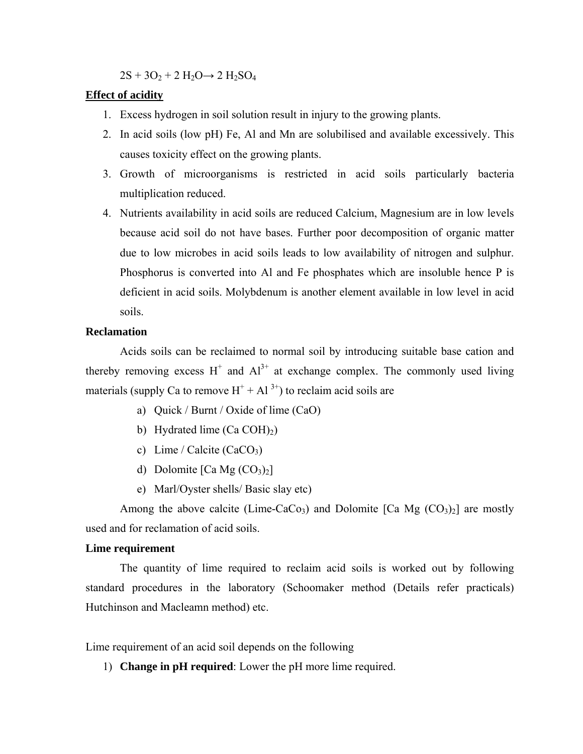$2S + 3O<sub>2</sub> + 2 H<sub>2</sub>O \rightarrow 2 H<sub>2</sub>SO<sub>4</sub>$ 

#### **Effect of acidity**

- 1. Excess hydrogen in soil solution result in injury to the growing plants.
- 2. In acid soils (low pH) Fe, Al and Mn are solubilised and available excessively. This causes toxicity effect on the growing plants.
- 3. Growth of microorganisms is restricted in acid soils particularly bacteria multiplication reduced.
- 4. Nutrients availability in acid soils are reduced Calcium, Magnesium are in low levels because acid soil do not have bases. Further poor decomposition of organic matter due to low microbes in acid soils leads to low availability of nitrogen and sulphur. Phosphorus is converted into Al and Fe phosphates which are insoluble hence P is deficient in acid soils. Molybdenum is another element available in low level in acid soils.

#### **Reclamation**

Acids soils can be reclaimed to normal soil by introducing suitable base cation and thereby removing excess  $H^+$  and  $Al^{3+}$  at exchange complex. The commonly used living materials (supply Ca to remove  $H^+ + Al^{3+}$ ) to reclaim acid soils are

- a) Quick / Burnt / Oxide of lime (CaO)
- b) Hydrated lime  $(Ca COH<sub>2</sub>)$
- c) Lime / Calcite (CaCO<sub>3</sub>)
- d) Dolomite  $[Ca Mg (CO<sub>3</sub>)<sub>2</sub>]$
- e) Marl/Oyster shells/ Basic slay etc)

Among the above calcite (Lime-CaCo<sub>3</sub>) and Dolomite [Ca Mg  $(CO_3)_2$ ] are mostly used and for reclamation of acid soils.

#### **Lime requirement**

The quantity of lime required to reclaim acid soils is worked out by following standard procedures in the laboratory (Schoomaker method (Details refer practicals) Hutchinson and Macleamn method) etc.

Lime requirement of an acid soil depends on the following

1) **Change in pH required**: Lower the pH more lime required.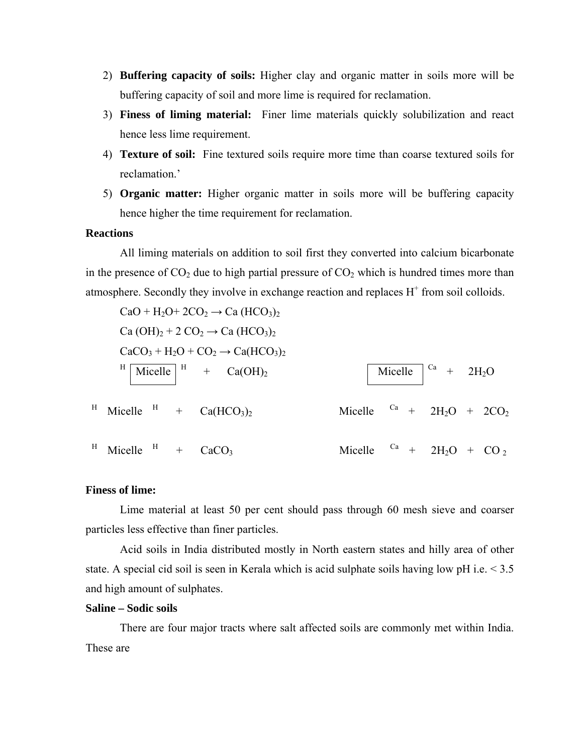- 2) **Buffering capacity of soils:** Higher clay and organic matter in soils more will be buffering capacity of soil and more lime is required for reclamation.
- 3) **Finess of liming material:** Finer lime materials quickly solubilization and react hence less lime requirement.
- 4) **Texture of soil:** Fine textured soils require more time than coarse textured soils for reclamation.'
- 5) **Organic matter:** Higher organic matter in soils more will be buffering capacity hence higher the time requirement for reclamation.

#### **Reactions**

All liming materials on addition to soil first they converted into calcium bicarbonate in the presence of  $CO_2$  due to high partial pressure of  $CO_2$  which is hundred times more than atmosphere. Secondly they involve in exchange reaction and replaces  $H^+$  from soil colloids.

$$
CaO + H_2O + 2CO_2 \rightarrow Ca (HCO_3)_2
$$
  
\n
$$
Ca(OH)_2 + 2 CO_2 \rightarrow Ca (HCO_3)_2
$$
  
\n
$$
CaCO_3 + H_2O + CO_2 \rightarrow Ca(HCO_3)_2
$$
  
\n
$$
H \text{ Micelle } H + Ca(HCO_3)_2
$$
  
\n
$$
H \text{ Micelle } H + Ca(HCO_3)_2
$$
  
\n
$$
H \text{ Micelle } H + CaCO_3
$$
  
\n
$$
H \text{ Micelle } H + CaCO_3
$$
  
\n
$$
H \text{ Micelle } H + CaCO_3
$$
  
\n
$$
H \text{ Micelle } H + CaCO_3
$$

#### **Finess of lime:**

Lime material at least 50 per cent should pass through 60 mesh sieve and coarser particles less effective than finer particles.

 Acid soils in India distributed mostly in North eastern states and hilly area of other state. A special cid soil is seen in Kerala which is acid sulphate soils having low pH i.e.  $\leq 3.5$ and high amount of sulphates.

# **Saline – Sodic soils**

 There are four major tracts where salt affected soils are commonly met within India. These are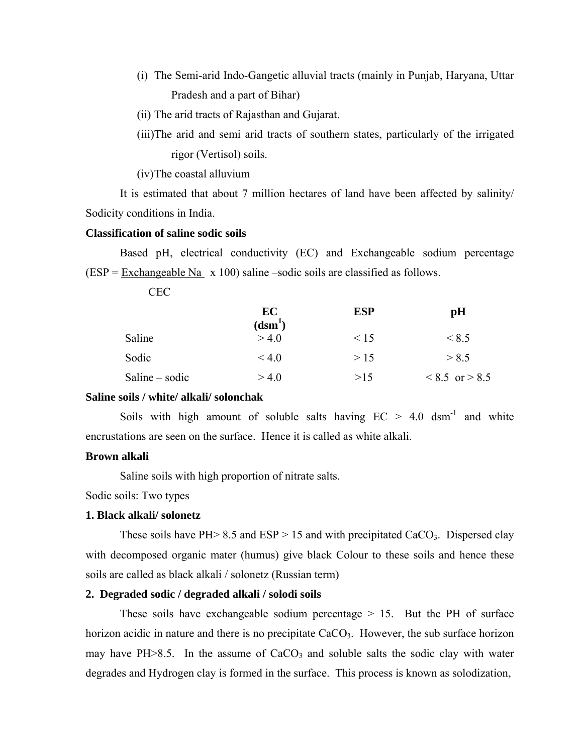- (i) The Semi-arid Indo-Gangetic alluvial tracts (mainly in Punjab, Haryana, Uttar Pradesh and a part of Bihar)
- (ii) The arid tracts of Rajasthan and Gujarat.
- (iii)The arid and semi arid tracts of southern states, particularly of the irrigated rigor (Vertisol) soils.

(iv) The coastal alluvium

It is estimated that about 7 million hectares of land have been affected by salinity/ Sodicity conditions in India.

#### **Classification of saline sodic soils**

 Based pH, electrical conductivity (EC) and Exchangeable sodium percentage  $(ESP = Exchangeable Na \times 100)$  saline –sodic soils are classified as follows.

CEC

|                | EC<br>(dsm <sup>1</sup> ) | <b>ESP</b> | pH                 |
|----------------|---------------------------|------------|--------------------|
| Saline         | > 4.0                     | $\leq 15$  | < 8.5              |
| Sodic          | $\leq 40$                 | >15        | > 8.5              |
| Saline – sodic | > 4.0                     | >15        | $< 8.5$ or $> 8.5$ |

#### **Saline soils / white/ alkali/ solonchak**

Soils with high amount of soluble salts having  $EC > 4.0$  dsm<sup>-1</sup> and white encrustations are seen on the surface. Hence it is called as white alkali.

# **Brown alkali**

Saline soils with high proportion of nitrate salts.

Sodic soils: Two types

#### **1. Black alkali/ solonetz**

These soils have PH $> 8.5$  and ESP  $> 15$  and with precipitated CaCO<sub>3</sub>. Dispersed clay with decomposed organic mater (humus) give black Colour to these soils and hence these soils are called as black alkali / solonetz (Russian term)

## **2. Degraded sodic / degraded alkali / solodi soils**

These soils have exchangeable sodium percentage  $> 15$ . But the PH of surface horizon acidic in nature and there is no precipitate  $CaCO<sub>3</sub>$ . However, the sub surface horizon may have PH $>8.5$ . In the assume of CaCO<sub>3</sub> and soluble salts the sodic clay with water degrades and Hydrogen clay is formed in the surface. This process is known as solodization,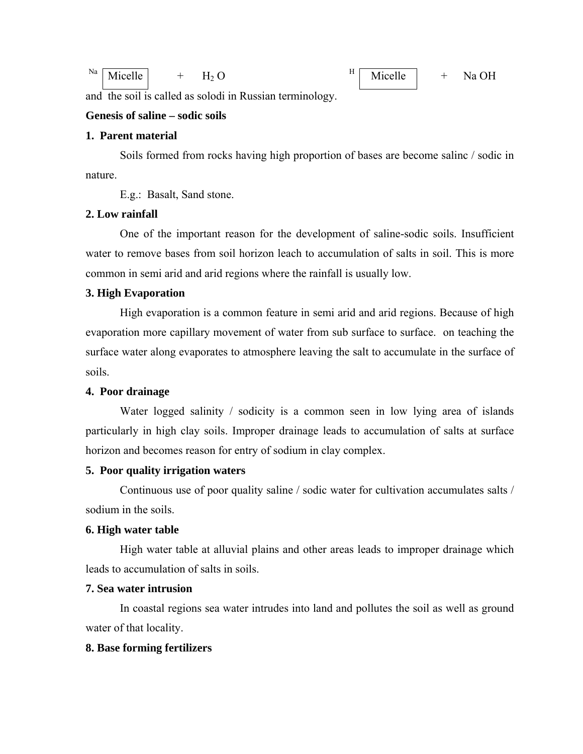| Na<br>Micelle<br>ъ -<br><b>LL</b> | H<br>-11-11<br>.<br>Micelle | <b>OH</b><br>Na c<br><b>__</b> |
|-----------------------------------|-----------------------------|--------------------------------|
|-----------------------------------|-----------------------------|--------------------------------|

and the soil is called as solodi in Russian terminology.

# **Genesis of saline – sodic soils**

# **1. Parent material**

 Soils formed from rocks having high proportion of bases are become salinc / sodic in nature.

E.g.: Basalt, Sand stone.

#### **2. Low rainfall**

 One of the important reason for the development of saline-sodic soils. Insufficient water to remove bases from soil horizon leach to accumulation of salts in soil. This is more common in semi arid and arid regions where the rainfall is usually low.

# **3. High Evaporation**

High evaporation is a common feature in semi arid and arid regions. Because of high evaporation more capillary movement of water from sub surface to surface. on teaching the surface water along evaporates to atmosphere leaving the salt to accumulate in the surface of soils.

#### **4. Poor drainage**

Water logged salinity / sodicity is a common seen in low lying area of islands particularly in high clay soils. Improper drainage leads to accumulation of salts at surface horizon and becomes reason for entry of sodium in clay complex.

#### **5. Poor quality irrigation waters**

 Continuous use of poor quality saline / sodic water for cultivation accumulates salts / sodium in the soils.

#### **6. High water table**

 High water table at alluvial plains and other areas leads to improper drainage which leads to accumulation of salts in soils.

#### **7. Sea water intrusion**

 In coastal regions sea water intrudes into land and pollutes the soil as well as ground water of that locality.

#### **8. Base forming fertilizers**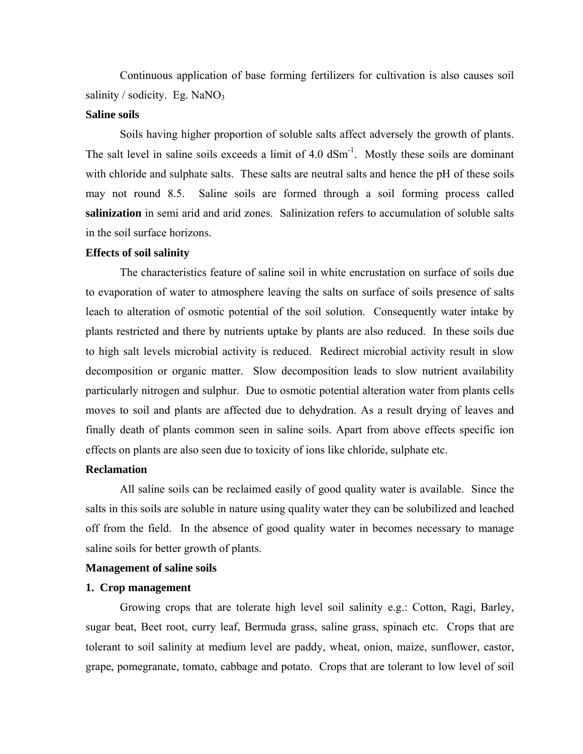Continuous application of base forming fertilizers for cultivation is also causes soil salinity / sodicity. Eg. NaNO<sub>3</sub>

#### **Saline soils**

 Soils having higher proportion of soluble salts affect adversely the growth of plants. The salt level in saline soils exceeds a limit of  $4.0 \text{ dSm}^{-1}$ . Mostly these soils are dominant with chloride and sulphate salts. These salts are neutral salts and hence the pH of these soils may not round 8.5. Saline soils are formed through a soil forming process called **salinization** in semi arid and arid zones. Salinization refers to accumulation of soluble salts in the soil surface horizons.

#### **Effects of soil salinity**

 The characteristics feature of saline soil in white encrustation on surface of soils due to evaporation of water to atmosphere leaving the salts on surface of soils presence of salts leach to alteration of osmotic potential of the soil solution. Consequently water intake by plants restricted and there by nutrients uptake by plants are also reduced. In these soils due to high salt levels microbial activity is reduced. Redirect microbial activity result in slow decomposition or organic matter. Slow decomposition leads to slow nutrient availability particularly nitrogen and sulphur. Due to osmotic potential alteration water from plants cells moves to soil and plants are affected due to dehydration. As a result drying of leaves and finally death of plants common seen in saline soils. Apart from above effects specific ion effects on plants are also seen due to toxicity of ions like chloride, sulphate etc.

# **Reclamation**

 All saline soils can be reclaimed easily of good quality water is available. Since the salts in this soils are soluble in nature using quality water they can be solubilized and leached off from the field. In the absence of good quality water in becomes necessary to manage saline soils for better growth of plants.

#### **Management of saline soils**

#### **1. Crop management**

 Growing crops that are tolerate high level soil salinity e.g.: Cotton, Ragi, Barley, sugar beat, Beet root, curry leaf, Bermuda grass, saline grass, spinach etc. Crops that are tolerant to soil salinity at medium level are paddy, wheat, onion, maize, sunflower, castor, grape, pomegranate, tomato, cabbage and potato. Crops that are tolerant to low level of soil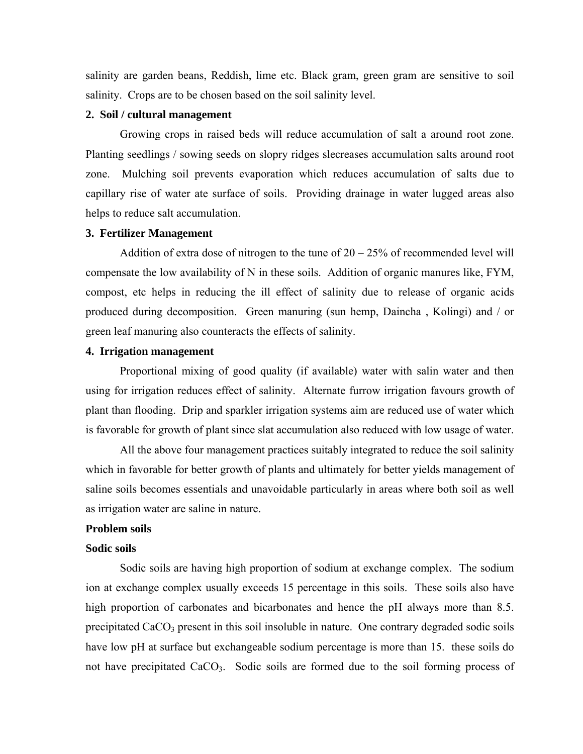salinity are garden beans, Reddish, lime etc. Black gram, green gram are sensitive to soil salinity. Crops are to be chosen based on the soil salinity level.

#### **2. Soil / cultural management**

 Growing crops in raised beds will reduce accumulation of salt a around root zone. Planting seedlings / sowing seeds on slopry ridges slecreases accumulation salts around root zone. Mulching soil prevents evaporation which reduces accumulation of salts due to capillary rise of water ate surface of soils. Providing drainage in water lugged areas also helps to reduce salt accumulation.

#### **3. Fertilizer Management**

Addition of extra dose of nitrogen to the tune of  $20 - 25\%$  of recommended level will compensate the low availability of N in these soils. Addition of organic manures like, FYM, compost, etc helps in reducing the ill effect of salinity due to release of organic acids produced during decomposition. Green manuring (sun hemp, Daincha , Kolingi) and / or green leaf manuring also counteracts the effects of salinity.

# **4. Irrigation management**

 Proportional mixing of good quality (if available) water with salin water and then using for irrigation reduces effect of salinity. Alternate furrow irrigation favours growth of plant than flooding. Drip and sparkler irrigation systems aim are reduced use of water which is favorable for growth of plant since slat accumulation also reduced with low usage of water.

 All the above four management practices suitably integrated to reduce the soil salinity which in favorable for better growth of plants and ultimately for better yields management of saline soils becomes essentials and unavoidable particularly in areas where both soil as well as irrigation water are saline in nature.

#### **Problem soils**

#### **Sodic soils**

 Sodic soils are having high proportion of sodium at exchange complex. The sodium ion at exchange complex usually exceeds 15 percentage in this soils. These soils also have high proportion of carbonates and bicarbonates and hence the pH always more than 8.5. precipitated  $CaCO<sub>3</sub>$  present in this soil insoluble in nature. One contrary degraded sodic soils have low pH at surface but exchangeable sodium percentage is more than 15. these soils do not have precipitated  $CaCO<sub>3</sub>$ . Sodic soils are formed due to the soil forming process of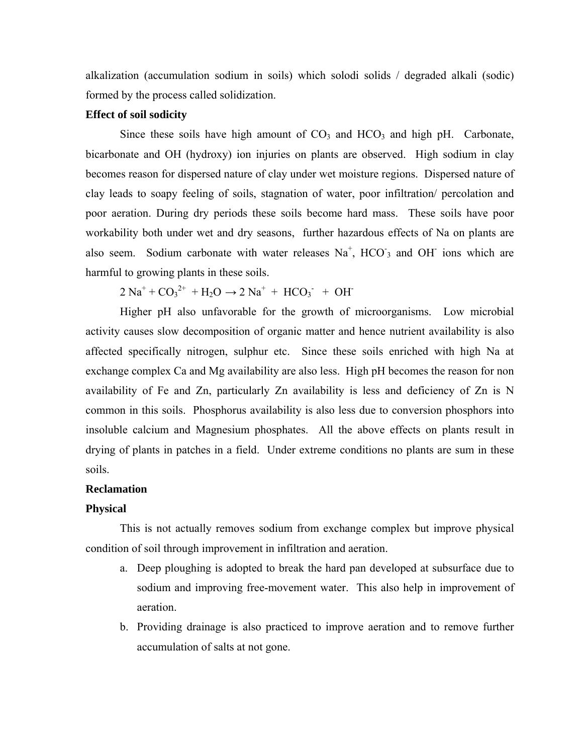alkalization (accumulation sodium in soils) which solodi solids / degraded alkali (sodic) formed by the process called solidization.

# **Effect of soil sodicity**

Since these soils have high amount of  $CO<sub>3</sub>$  and  $HCO<sub>3</sub>$  and high pH. Carbonate, bicarbonate and OH (hydroxy) ion injuries on plants are observed. High sodium in clay becomes reason for dispersed nature of clay under wet moisture regions. Dispersed nature of clay leads to soapy feeling of soils, stagnation of water, poor infiltration/ percolation and poor aeration. During dry periods these soils become hard mass. These soils have poor workability both under wet and dry seasons, further hazardous effects of Na on plants are also seem. Sodium carbonate with water releases  $Na<sup>+</sup>$ , HCO<sub>3</sub> and OH<sup>-</sup> ions which are harmful to growing plants in these soils.

 $2 \text{ Na}^+ + \text{CO}_3^{2+} + \text{H}_2\text{O} \rightarrow 2 \text{ Na}^+ + \text{HCO}_3^- + \text{OH}^-$ 

Higher pH also unfavorable for the growth of microorganisms. Low microbial activity causes slow decomposition of organic matter and hence nutrient availability is also affected specifically nitrogen, sulphur etc. Since these soils enriched with high Na at exchange complex Ca and Mg availability are also less. High pH becomes the reason for non availability of Fe and Zn, particularly Zn availability is less and deficiency of Zn is N common in this soils. Phosphorus availability is also less due to conversion phosphors into insoluble calcium and Magnesium phosphates. All the above effects on plants result in drying of plants in patches in a field. Under extreme conditions no plants are sum in these soils.

# **Reclamation**

#### **Physical**

 This is not actually removes sodium from exchange complex but improve physical condition of soil through improvement in infiltration and aeration.

- a. Deep ploughing is adopted to break the hard pan developed at subsurface due to sodium and improving free-movement water. This also help in improvement of aeration.
- b. Providing drainage is also practiced to improve aeration and to remove further accumulation of salts at not gone.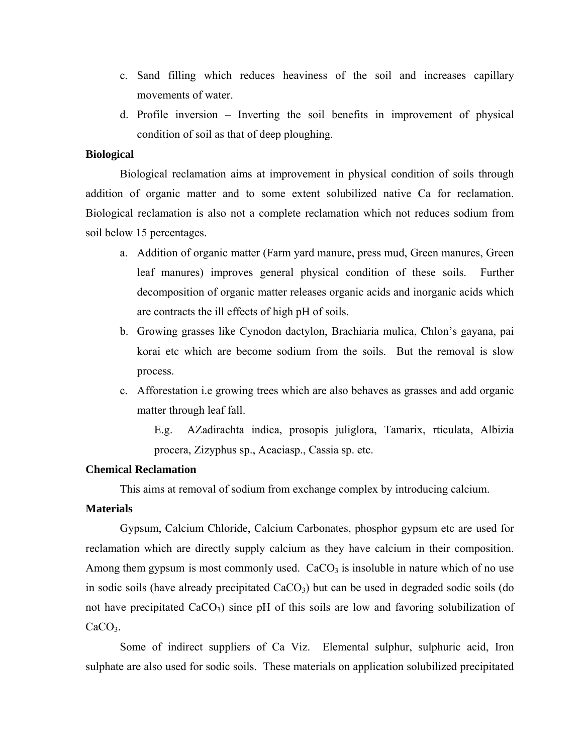- c. Sand filling which reduces heaviness of the soil and increases capillary movements of water.
- d. Profile inversion Inverting the soil benefits in improvement of physical condition of soil as that of deep ploughing.

# **Biological**

 Biological reclamation aims at improvement in physical condition of soils through addition of organic matter and to some extent solubilized native Ca for reclamation. Biological reclamation is also not a complete reclamation which not reduces sodium from soil below 15 percentages.

- a. Addition of organic matter (Farm yard manure, press mud, Green manures, Green leaf manures) improves general physical condition of these soils. Further decomposition of organic matter releases organic acids and inorganic acids which are contracts the ill effects of high pH of soils.
- b. Growing grasses like Cynodon dactylon, Brachiaria mulica, Chlon's gayana, pai korai etc which are become sodium from the soils. But the removal is slow process.
- c. Afforestation i.e growing trees which are also behaves as grasses and add organic matter through leaf fall.

E.g. AZadirachta indica, prosopis juliglora, Tamarix, rticulata, Albizia procera, Zizyphus sp., Acaciasp., Cassia sp. etc.

# **Chemical Reclamation**

This aims at removal of sodium from exchange complex by introducing calcium.

# **Materials**

 Gypsum, Calcium Chloride, Calcium Carbonates, phosphor gypsum etc are used for reclamation which are directly supply calcium as they have calcium in their composition. Among them gypsum is most commonly used.  $CaCO<sub>3</sub>$  is insoluble in nature which of no use in sodic soils (have already precipitated  $CaCO<sub>3</sub>$ ) but can be used in degraded sodic soils (do not have precipitated CaCO<sub>3</sub>) since pH of this soils are low and favoring solubilization of CaCO<sub>3</sub>.

 Some of indirect suppliers of Ca Viz. Elemental sulphur, sulphuric acid, Iron sulphate are also used for sodic soils. These materials on application solubilized precipitated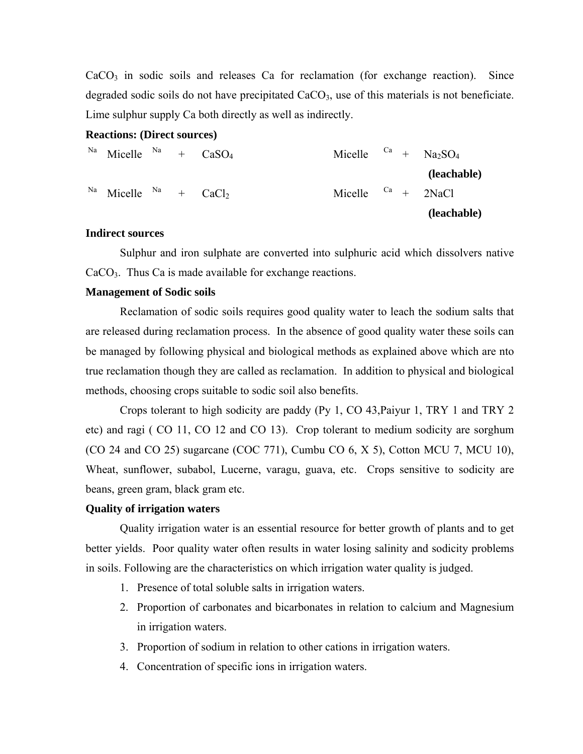$CaCO<sub>3</sub>$  in sodic soils and releases Ca for reclamation (for exchange reaction). Since degraded sodic soils do not have precipitated  $CaCO<sub>3</sub>$ , use of this materials is not beneficiate. Lime sulphur supply Ca both directly as well as indirectly.

#### **Reactions: (Direct sources)**

<sup>Na</sup> Micelle <sup>Na</sup> + CaSO<sub>4</sub> Micelle <sup>Ca</sup> + Na<sub>2</sub>SO<sub>4</sub>  **(leachable)**   $N^a$  Micelle  $N^a$  + CaCl<sub>2</sub> Micelle <sup>Ca</sup> + 2NaCl<sub>2</sub>  **(leachable)** 

# **Indirect sources**

 Sulphur and iron sulphate are converted into sulphuric acid which dissolvers native  $CaCO<sub>3</sub>$ . Thus Ca is made available for exchange reactions.

#### **Management of Sodic soils**

 Reclamation of sodic soils requires good quality water to leach the sodium salts that are released during reclamation process. In the absence of good quality water these soils can be managed by following physical and biological methods as explained above which are nto true reclamation though they are called as reclamation. In addition to physical and biological methods, choosing crops suitable to sodic soil also benefits.

 Crops tolerant to high sodicity are paddy (Py 1, CO 43,Paiyur 1, TRY 1 and TRY 2 etc) and ragi ( CO 11, CO 12 and CO 13). Crop tolerant to medium sodicity are sorghum (CO 24 and CO 25) sugarcane (COC 771), Cumbu CO 6, X 5), Cotton MCU 7, MCU 10), Wheat, sunflower, subabol, Lucerne, varagu, guava, etc. Crops sensitive to sodicity are beans, green gram, black gram etc.

#### **Quality of irrigation waters**

 Quality irrigation water is an essential resource for better growth of plants and to get better yields. Poor quality water often results in water losing salinity and sodicity problems in soils. Following are the characteristics on which irrigation water quality is judged.

- 1. Presence of total soluble salts in irrigation waters.
- 2. Proportion of carbonates and bicarbonates in relation to calcium and Magnesium in irrigation waters.
- 3. Proportion of sodium in relation to other cations in irrigation waters.
- 4. Concentration of specific ions in irrigation waters.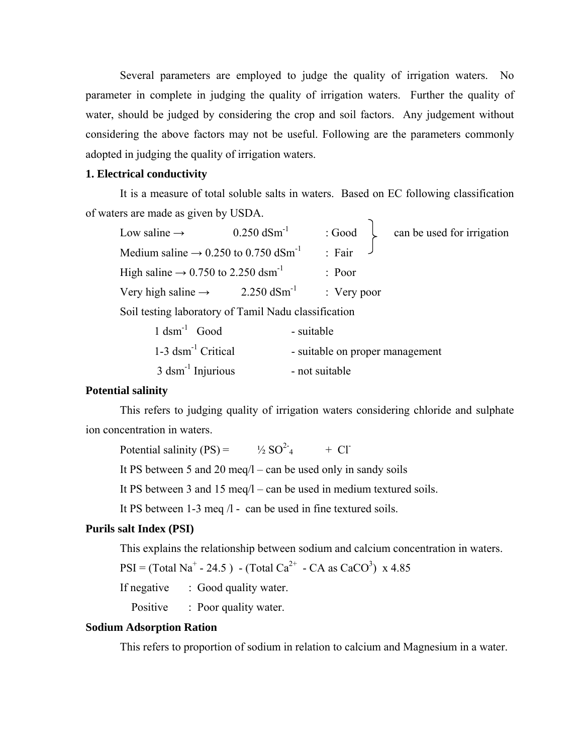Several parameters are employed to judge the quality of irrigation waters. No parameter in complete in judging the quality of irrigation waters. Further the quality of water, should be judged by considering the crop and soil factors. Any judgement without considering the above factors may not be useful. Following are the parameters commonly adopted in judging the quality of irrigation waters.

# **1. Electrical conductivity**

It is a measure of total soluble salts in waters. Based on EC following classification of waters are made as given by USDA.

| Low saline $\rightarrow$                                                                                                                                                                                                                                   | $0.250$ dSm <sup>-1</sup> | : Good                 | can be used for irrigation |
|------------------------------------------------------------------------------------------------------------------------------------------------------------------------------------------------------------------------------------------------------------|---------------------------|------------------------|----------------------------|
| Medium saline $\rightarrow$ 0.250 to 0.750 dSm <sup>-1</sup>                                                                                                                                                                                               |                           | $\therefore$ Fair      |                            |
| High saline $\rightarrow$ 0.750 to 2.250 dsm <sup>-1</sup>                                                                                                                                                                                                 |                           | $:$ Poor               |                            |
| Very high saline $\rightarrow$                                                                                                                                                                                                                             | 2.250 $dSm^{-1}$          | $\therefore$ Very poor |                            |
| $C_{11}$ $C_{12}$ $C_{13}$ $C_{14}$ $C_{15}$ $C_{16}$ $C_{17}$ $C_{18}$ $C_{19}$ $C_{11}$ $C_{12}$ $C_{13}$ $C_{14}$ $C_{15}$ $C_{16}$ $C_{17}$ $C_{18}$ $C_{19}$ $C_{10}$ $C_{11}$ $C_{12}$ $C_{13}$ $C_{14}$ $C_{15}$ $C_{16}$ $C_{17}$ $C_{18}$ $C_{19$ |                           |                        |                            |

Soil testing laboratory of Tamil Nadu classification

| $1$ dsm <sup>-1</sup> Good       | - suitable                      |
|----------------------------------|---------------------------------|
| $1-3$ dsm <sup>-1</sup> Critical | - suitable on proper management |
| $3$ dsm <sup>-1</sup> Injurious  | - not suitable                  |

# **Potential salinity**

This refers to judging quality of irrigation waters considering chloride and sulphate ion concentration in waters.

Potential salinity  $(PS)$  =  $\frac{1}{2} SO^2$  + Cl<sup>-1</sup>

It PS between 5 and 20 meq/l – can be used only in sandy soils

It PS between 3 and 15 meq/l – can be used in medium textured soils.

It PS between 1-3 meq /l - can be used in fine textured soils.

# **Purils salt Index (PSI)**

This explains the relationship between sodium and calcium concentration in waters.

 $PSI = (Total Na<sup>+</sup> - 24.5) - (Total Ca<sup>2+</sup> - CA as CaCO<sup>3</sup>)$  x 4.85

If negative : Good quality water.

Positive : Poor quality water.

#### **Sodium Adsorption Ration**

This refers to proportion of sodium in relation to calcium and Magnesium in a water.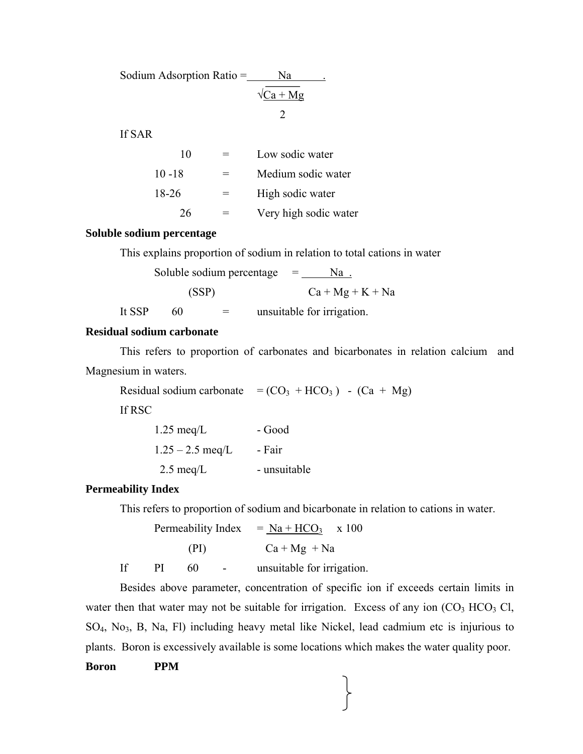| Sodium Adsorption Ratio = | Nа               |  |
|---------------------------|------------------|--|
|                           | $\sqrt{Ca + Mg}$ |  |
|                           |                  |  |
| If SAR                    |                  |  |

| 10        |     | Low sodic water       |
|-----------|-----|-----------------------|
| $10 - 18$ |     | Medium sodic water    |
| 18-26     | $=$ | High sodic water      |
| 26        |     | Very high sodic water |

#### **Soluble sodium percentage**

This explains proportion of sodium in relation to total cations in water

Soluble sodium percentage

\n
$$
= \frac{Na}{Ca + Mg + K + Na}
$$
\nIt SSP

\n
$$
= \text{unsuitable for irrigation.}
$$

# **Residual sodium carbonate**

This refers to proportion of carbonates and bicarbonates in relation calcium and Magnesium in waters.

Residual sodium carbonate =  $(CO_3 + HCO_3) - (Ca + Mg)$ 

If RSC

| $1.25 \text{ meq/L}$ | - Good       |
|----------------------|--------------|
| $1.25 - 2.5$ meg/L   | - Fair       |
| $2.5 \text{ meq/L}$  | - unsuitable |

#### **Permeability Index**

This refers to proportion of sodium and bicarbonate in relation to cations in water.

Permeability Index =  $Na + HCO<sub>3</sub>$  x 100 (PI)  $Ca + Mg + Na$ 

If PI 60 - unsuitable for irrigation.

Besides above parameter, concentration of specific ion if exceeds certain limits in water then that water may not be suitable for irrigation. Excess of any ion  $(CO<sub>3</sub> HCO<sub>3</sub> Cl,$ SO4, No3, B, Na, Fl) including heavy metal like Nickel, lead cadmium etc is injurious to plants. Boron is excessively available is some locations which makes the water quality poor.

# **Boron PPM**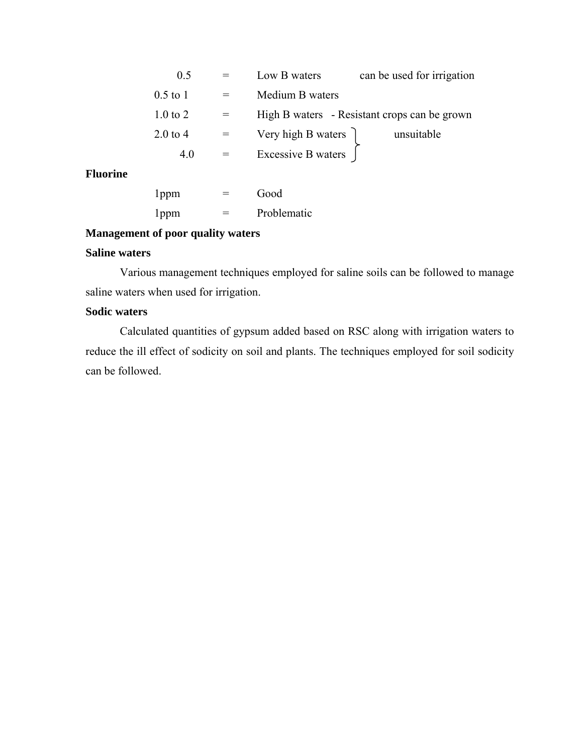|                 | 0.5                 | can be used for irrigation<br>Low B waters   |
|-----------------|---------------------|----------------------------------------------|
|                 | $0.5$ to 1          | Medium B waters                              |
|                 | $1.0$ to $2$        | High B waters - Resistant crops can be grown |
|                 | $2.0 \text{ to } 4$ | Very high B waters )<br>unsuitable           |
|                 | 4.0                 | Excessive B waters                           |
| <b>Fluorine</b> |                     |                                              |
|                 | I ppm               | Good                                         |

# 1ppm = Problematic

# **Management of poor quality waters**

# **Saline waters**

Various management techniques employed for saline soils can be followed to manage saline waters when used for irrigation.

# **Sodic waters**

Calculated quantities of gypsum added based on RSC along with irrigation waters to reduce the ill effect of sodicity on soil and plants. The techniques employed for soil sodicity can be followed.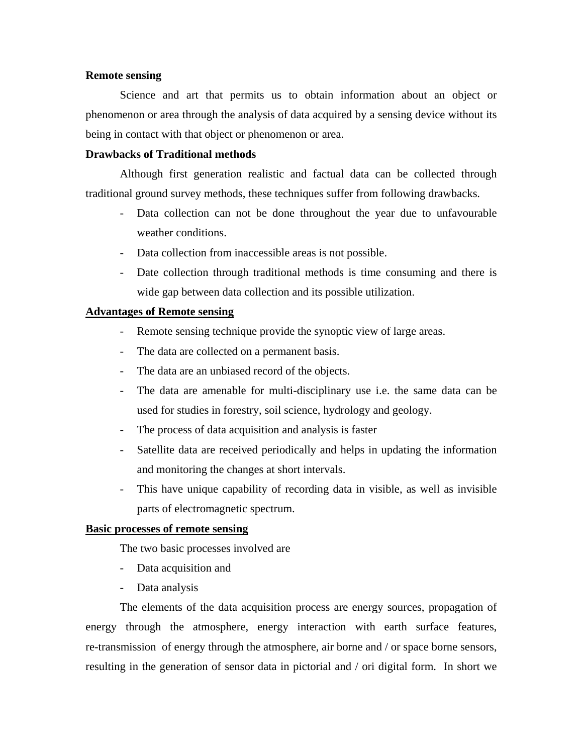#### **Remote sensing**

 Science and art that permits us to obtain information about an object or phenomenon or area through the analysis of data acquired by a sensing device without its being in contact with that object or phenomenon or area.

#### **Drawbacks of Traditional methods**

 Although first generation realistic and factual data can be collected through traditional ground survey methods, these techniques suffer from following drawbacks.

- Data collection can not be done throughout the year due to unfavourable weather conditions.
- Data collection from inaccessible areas is not possible.
- Date collection through traditional methods is time consuming and there is wide gap between data collection and its possible utilization.

#### **Advantages of Remote sensing**

- Remote sensing technique provide the synoptic view of large areas.
- The data are collected on a permanent basis.
- The data are an unbiased record of the objects.
- The data are amenable for multi-disciplinary use i.e. the same data can be used for studies in forestry, soil science, hydrology and geology.
- The process of data acquisition and analysis is faster
- Satellite data are received periodically and helps in updating the information and monitoring the changes at short intervals.
- This have unique capability of recording data in visible, as well as invisible parts of electromagnetic spectrum.

# **Basic processes of remote sensing**

The two basic processes involved are

- Data acquisition and
- Data analysis

The elements of the data acquisition process are energy sources, propagation of energy through the atmosphere, energy interaction with earth surface features, re-transmission of energy through the atmosphere, air borne and / or space borne sensors, resulting in the generation of sensor data in pictorial and / ori digital form. In short we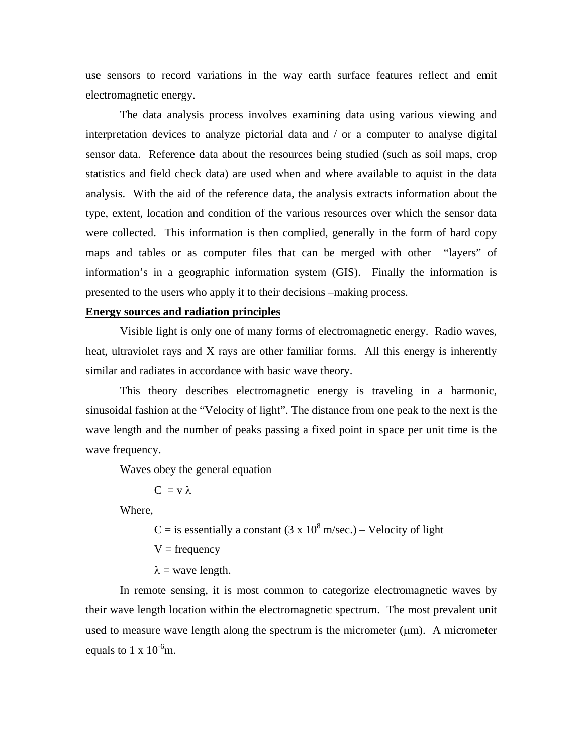use sensors to record variations in the way earth surface features reflect and emit electromagnetic energy.

 The data analysis process involves examining data using various viewing and interpretation devices to analyze pictorial data and / or a computer to analyse digital sensor data. Reference data about the resources being studied (such as soil maps, crop statistics and field check data) are used when and where available to aquist in the data analysis. With the aid of the reference data, the analysis extracts information about the type, extent, location and condition of the various resources over which the sensor data were collected. This information is then complied, generally in the form of hard copy maps and tables or as computer files that can be merged with other "layers" of information's in a geographic information system (GIS). Finally the information is presented to the users who apply it to their decisions –making process.

## **Energy sources and radiation principles**

 Visible light is only one of many forms of electromagnetic energy. Radio waves, heat, ultraviolet rays and X rays are other familiar forms. All this energy is inherently similar and radiates in accordance with basic wave theory.

 This theory describes electromagnetic energy is traveling in a harmonic, sinusoidal fashion at the "Velocity of light". The distance from one peak to the next is the wave length and the number of peaks passing a fixed point in space per unit time is the wave frequency.

Waves obey the general equation

 $C = v \lambda$ 

Where,

 $C =$  is essentially a constant (3 x 10<sup>8</sup> m/sec.) – Velocity of light

 $V = frequency$ 

 $\lambda$  = wave length.

 In remote sensing, it is most common to categorize electromagnetic waves by their wave length location within the electromagnetic spectrum. The most prevalent unit used to measure wave length along the spectrum is the micrometer  $(\mu m)$ . A micrometer equals to 1 x  $10^{-6}$ m.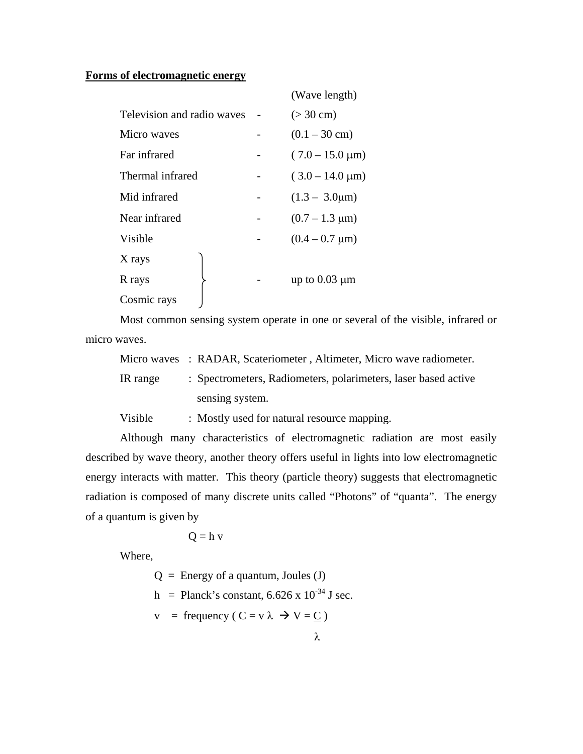# **Forms of electromagnetic energy**

|                            | (Wave length)                   |
|----------------------------|---------------------------------|
| Television and radio waves | $(> 30 \text{ cm})$             |
|                            | $(0.1 - 30 \text{ cm})$         |
|                            | $(7.0 - 15.0 \,\mathrm{\mu m})$ |
| Thermal infrared           | $(3.0 - 14.0 \,\mathrm{\mu m})$ |
|                            | $(1.3 - 3.0 \mu m)$             |
|                            | $(0.7 - 1.3 \mu m)$             |
|                            | $(0.4 - 0.7 \mu m)$             |
|                            |                                 |
|                            | up to $0.03 \mu m$              |
|                            |                                 |
|                            |                                 |

Most common sensing system operate in one or several of the visible, infrared or micro waves.

|          | Micro waves : RADAR, Scateriometer, Altimeter, Micro wave radiometer. |
|----------|-----------------------------------------------------------------------|
| IR range | : Spectrometers, Radiometers, polarimeters, laser based active        |
|          | sensing system.                                                       |

Visible : Mostly used for natural resource mapping.

Although many characteristics of electromagnetic radiation are most easily described by wave theory, another theory offers useful in lights into low electromagnetic energy interacts with matter. This theory (particle theory) suggests that electromagnetic radiation is composed of many discrete units called "Photons" of "quanta". The energy of a quantum is given by

$$
Q = h v
$$

Where,

 $Q =$  Energy of a quantum, Joules (J)

h = Planck's constant,  $6.626 \times 10^{-34}$  J sec.

$$
v = \text{frequency} (C = v \lambda \rightarrow V = \underline{C})
$$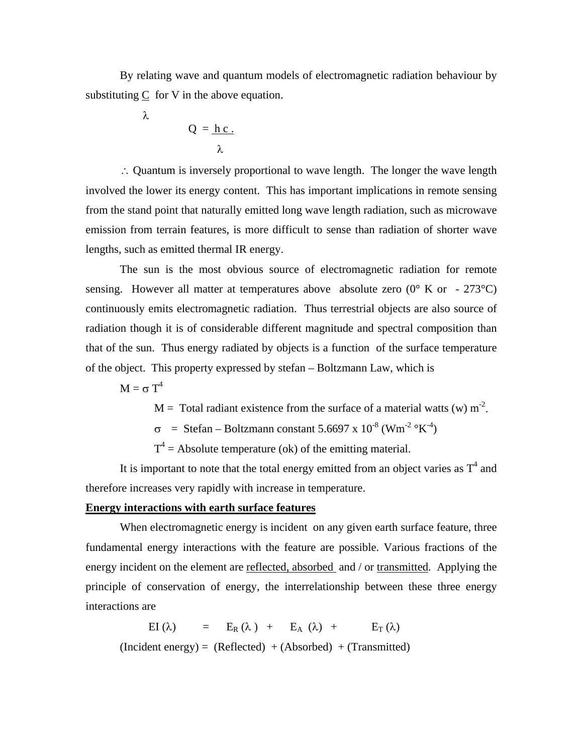By relating wave and quantum models of electromagnetic radiation behaviour by substituting C for V in the above equation.

$$
Q = \frac{hc}{\lambda}
$$

λ

∴ Quantum is inversely proportional to wave length. The longer the wave length involved the lower its energy content. This has important implications in remote sensing from the stand point that naturally emitted long wave length radiation, such as microwave emission from terrain features, is more difficult to sense than radiation of shorter wave lengths, such as emitted thermal IR energy.

 The sun is the most obvious source of electromagnetic radiation for remote sensing. However all matter at temperatures above absolute zero  $(0^{\circ} \text{ K or } -273^{\circ} \text{C})$ continuously emits electromagnetic radiation. Thus terrestrial objects are also source of radiation though it is of considerable different magnitude and spectral composition than that of the sun. Thus energy radiated by objects is a function of the surface temperature of the object. This property expressed by stefan – Boltzmann Law, which is

 $M = σ T<sup>4</sup>$ 

 $M =$ Total radiant existence from the surface of a material watts (w) m<sup>-2</sup>.

 $\sigma$  = Stefan – Boltzmann constant 5.6697 x 10<sup>-8</sup> (Wm<sup>-2</sup> °K<sup>-4</sup>)

 $T^4$  = Absolute temperature (ok) of the emitting material.

It is important to note that the total energy emitted from an object varies as  $T<sup>4</sup>$  and therefore increases very rapidly with increase in temperature.

#### **Energy interactions with earth surface features**

When electromagnetic energy is incident on any given earth surface feature, three fundamental energy interactions with the feature are possible. Various fractions of the energy incident on the element are reflected, absorbed and / or transmitted. Applying the principle of conservation of energy, the interrelationship between these three energy interactions are

EI (λ) =  $E_R(\lambda)$  +  $E_A(\lambda)$  +  $E_T(\lambda)$  $(Incident energy) = (Reflected) + (Absorbed) + (Transmitted)$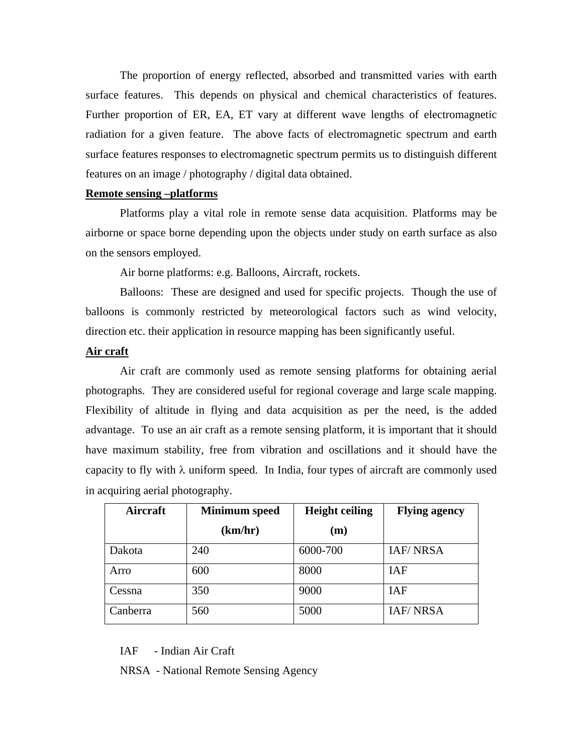The proportion of energy reflected, absorbed and transmitted varies with earth surface features. This depends on physical and chemical characteristics of features. Further proportion of ER, EA, ET vary at different wave lengths of electromagnetic radiation for a given feature. The above facts of electromagnetic spectrum and earth surface features responses to electromagnetic spectrum permits us to distinguish different features on an image / photography / digital data obtained.

### **Remote sensing –platforms**

 Platforms play a vital role in remote sense data acquisition. Platforms may be airborne or space borne depending upon the objects under study on earth surface as also on the sensors employed.

Air borne platforms: e.g. Balloons, Aircraft, rockets.

 Balloons: These are designed and used for specific projects. Though the use of balloons is commonly restricted by meteorological factors such as wind velocity, direction etc. their application in resource mapping has been significantly useful.

#### **Air craft**

 Air craft are commonly used as remote sensing platforms for obtaining aerial photographs. They are considered useful for regional coverage and large scale mapping. Flexibility of altitude in flying and data acquisition as per the need, is the added advantage. To use an air craft as a remote sensing platform, it is important that it should have maximum stability, free from vibration and oscillations and it should have the capacity to fly with  $\lambda$  uniform speed. In India, four types of aircraft are commonly used in acquiring aerial photography.

| Aircraft | <b>Minimum</b> speed | <b>Height ceiling</b> | <b>Flying agency</b> |
|----------|----------------------|-----------------------|----------------------|
|          | (km/hr)              | (m)                   |                      |
| Dakota   | 240                  | 6000-700              | <b>IAF/NRSA</b>      |
| Arro     | 600                  | 8000                  | <b>IAF</b>           |
| Cessna   | 350                  | 9000                  | <b>IAF</b>           |
| Canberra | 560                  | 5000                  | <b>IAF/NRSA</b>      |

IAF - Indian Air Craft

NRSA - National Remote Sensing Agency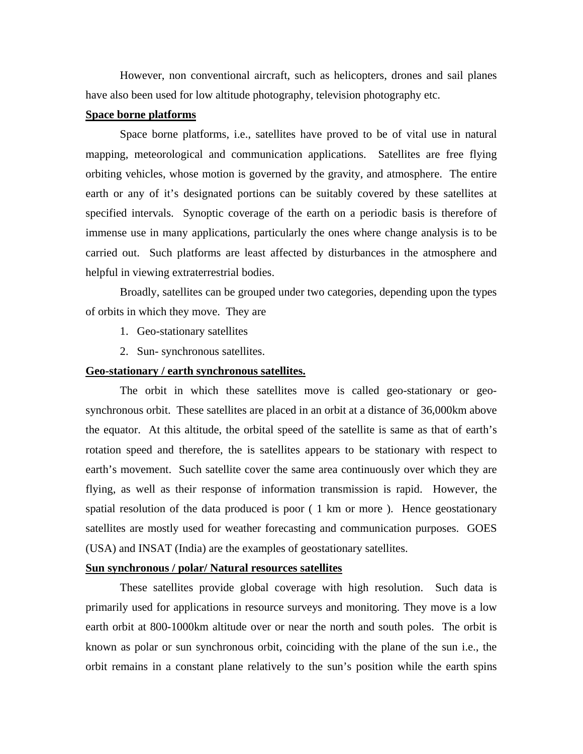However, non conventional aircraft, such as helicopters, drones and sail planes have also been used for low altitude photography, television photography etc.

# **Space borne platforms**

 Space borne platforms, i.e., satellites have proved to be of vital use in natural mapping, meteorological and communication applications. Satellites are free flying orbiting vehicles, whose motion is governed by the gravity, and atmosphere. The entire earth or any of it's designated portions can be suitably covered by these satellites at specified intervals. Synoptic coverage of the earth on a periodic basis is therefore of immense use in many applications, particularly the ones where change analysis is to be carried out. Such platforms are least affected by disturbances in the atmosphere and helpful in viewing extraterrestrial bodies.

 Broadly, satellites can be grouped under two categories, depending upon the types of orbits in which they move. They are

- 1. Geo-stationary satellites
- 2. Sun- synchronous satellites.

#### **Geo-stationary / earth synchronous satellites.**

 The orbit in which these satellites move is called geo-stationary or geosynchronous orbit. These satellites are placed in an orbit at a distance of 36,000km above the equator. At this altitude, the orbital speed of the satellite is same as that of earth's rotation speed and therefore, the is satellites appears to be stationary with respect to earth's movement. Such satellite cover the same area continuously over which they are flying, as well as their response of information transmission is rapid. However, the spatial resolution of the data produced is poor ( 1 km or more ). Hence geostationary satellites are mostly used for weather forecasting and communication purposes. GOES (USA) and INSAT (India) are the examples of geostationary satellites.

#### **Sun synchronous / polar/ Natural resources satellites**

 These satellites provide global coverage with high resolution. Such data is primarily used for applications in resource surveys and monitoring. They move is a low earth orbit at 800-1000km altitude over or near the north and south poles. The orbit is known as polar or sun synchronous orbit, coinciding with the plane of the sun i.e., the orbit remains in a constant plane relatively to the sun's position while the earth spins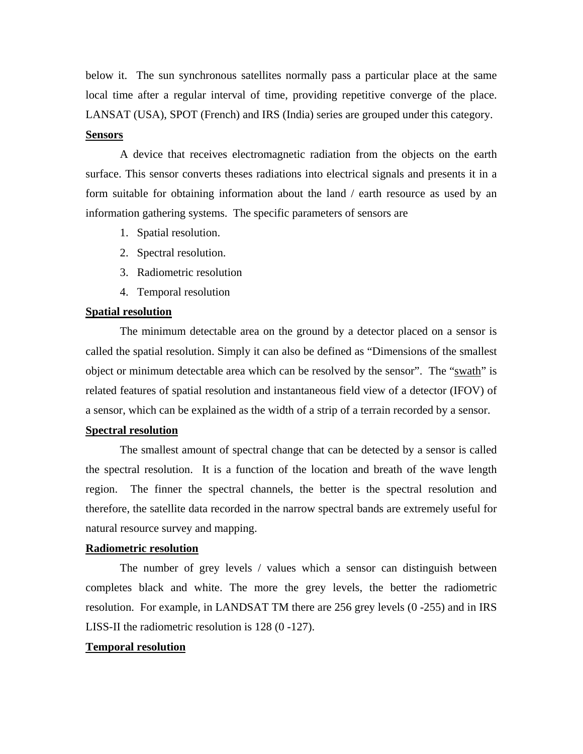below it. The sun synchronous satellites normally pass a particular place at the same local time after a regular interval of time, providing repetitive converge of the place. LANSAT (USA), SPOT (French) and IRS (India) series are grouped under this category.

#### **Sensors**

 A device that receives electromagnetic radiation from the objects on the earth surface. This sensor converts theses radiations into electrical signals and presents it in a form suitable for obtaining information about the land / earth resource as used by an information gathering systems. The specific parameters of sensors are

- 1. Spatial resolution.
- 2. Spectral resolution.
- 3. Radiometric resolution
- 4. Temporal resolution

# **Spatial resolution**

 The minimum detectable area on the ground by a detector placed on a sensor is called the spatial resolution. Simply it can also be defined as "Dimensions of the smallest object or minimum detectable area which can be resolved by the sensor". The "swath" is related features of spatial resolution and instantaneous field view of a detector (IFOV) of a sensor, which can be explained as the width of a strip of a terrain recorded by a sensor.

#### **Spectral resolution**

 The smallest amount of spectral change that can be detected by a sensor is called the spectral resolution. It is a function of the location and breath of the wave length region. The finner the spectral channels, the better is the spectral resolution and therefore, the satellite data recorded in the narrow spectral bands are extremely useful for natural resource survey and mapping.

#### **Radiometric resolution**

 The number of grey levels / values which a sensor can distinguish between completes black and white. The more the grey levels, the better the radiometric resolution. For example, in LANDSAT TM there are 256 grey levels (0 -255) and in IRS LISS-II the radiometric resolution is 128 (0 -127).

#### **Temporal resolution**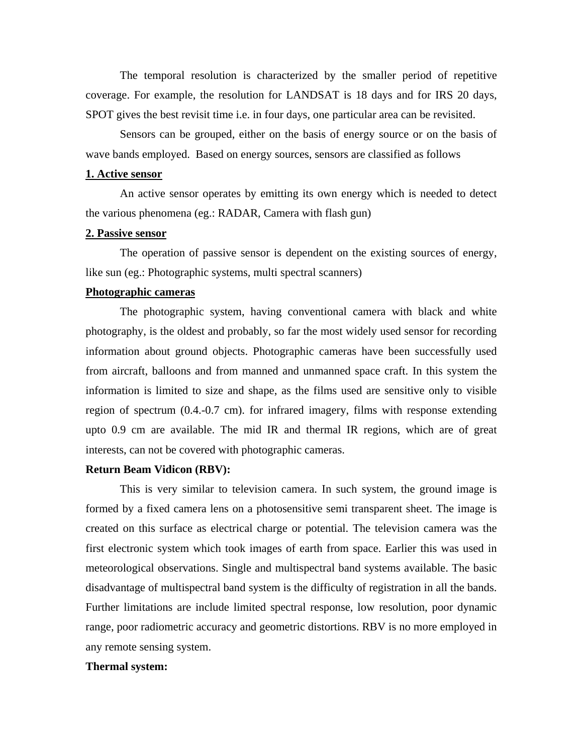The temporal resolution is characterized by the smaller period of repetitive coverage. For example, the resolution for LANDSAT is 18 days and for IRS 20 days, SPOT gives the best revisit time i.e. in four days, one particular area can be revisited.

 Sensors can be grouped, either on the basis of energy source or on the basis of wave bands employed. Based on energy sources, sensors are classified as follows

#### **1. Active sensor**

 An active sensor operates by emitting its own energy which is needed to detect the various phenomena (eg.: RADAR, Camera with flash gun)

### **2. Passive sensor**

 The operation of passive sensor is dependent on the existing sources of energy, like sun (eg.: Photographic systems, multi spectral scanners)

#### **Photographic cameras**

 The photographic system, having conventional camera with black and white photography, is the oldest and probably, so far the most widely used sensor for recording information about ground objects. Photographic cameras have been successfully used from aircraft, balloons and from manned and unmanned space craft. In this system the information is limited to size and shape, as the films used are sensitive only to visible region of spectrum (0.4.-0.7 cm). for infrared imagery, films with response extending upto 0.9 cm are available. The mid IR and thermal IR regions, which are of great interests, can not be covered with photographic cameras.

#### **Return Beam Vidicon (RBV):**

This is very similar to television camera. In such system, the ground image is formed by a fixed camera lens on a photosensitive semi transparent sheet. The image is created on this surface as electrical charge or potential. The television camera was the first electronic system which took images of earth from space. Earlier this was used in meteorological observations. Single and multispectral band systems available. The basic disadvantage of multispectral band system is the difficulty of registration in all the bands. Further limitations are include limited spectral response, low resolution, poor dynamic range, poor radiometric accuracy and geometric distortions. RBV is no more employed in any remote sensing system.

#### **Thermal system:**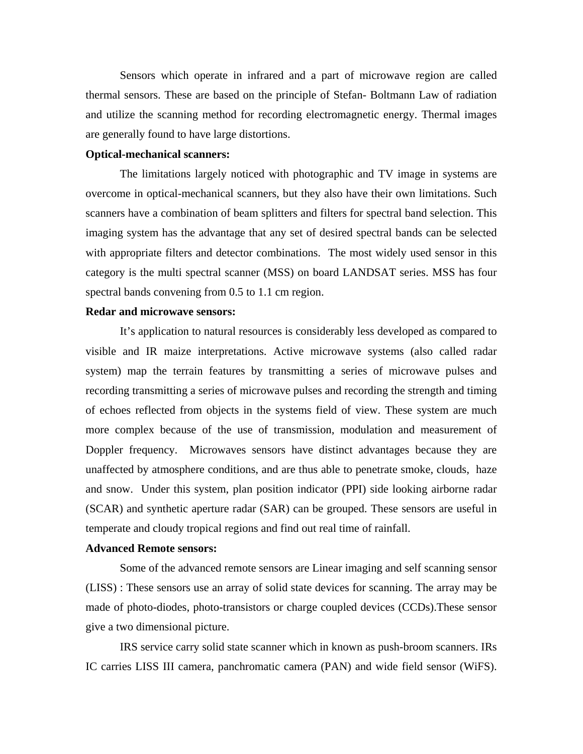Sensors which operate in infrared and a part of microwave region are called thermal sensors. These are based on the principle of Stefan- Boltmann Law of radiation and utilize the scanning method for recording electromagnetic energy. Thermal images are generally found to have large distortions.

#### **Optical-mechanical scanners:**

The limitations largely noticed with photographic and TV image in systems are overcome in optical-mechanical scanners, but they also have their own limitations. Such scanners have a combination of beam splitters and filters for spectral band selection. This imaging system has the advantage that any set of desired spectral bands can be selected with appropriate filters and detector combinations. The most widely used sensor in this category is the multi spectral scanner (MSS) on board LANDSAT series. MSS has four spectral bands convening from 0.5 to 1.1 cm region.

#### **Redar and microwave sensors:**

It's application to natural resources is considerably less developed as compared to visible and IR maize interpretations. Active microwave systems (also called radar system) map the terrain features by transmitting a series of microwave pulses and recording transmitting a series of microwave pulses and recording the strength and timing of echoes reflected from objects in the systems field of view. These system are much more complex because of the use of transmission, modulation and measurement of Doppler frequency. Microwaves sensors have distinct advantages because they are unaffected by atmosphere conditions, and are thus able to penetrate smoke, clouds, haze and snow. Under this system, plan position indicator (PPI) side looking airborne radar (SCAR) and synthetic aperture radar (SAR) can be grouped. These sensors are useful in temperate and cloudy tropical regions and find out real time of rainfall.

#### **Advanced Remote sensors:**

Some of the advanced remote sensors are Linear imaging and self scanning sensor (LISS) : These sensors use an array of solid state devices for scanning. The array may be made of photo-diodes, photo-transistors or charge coupled devices (CCDs).These sensor give a two dimensional picture.

 IRS service carry solid state scanner which in known as push-broom scanners. IRs IC carries LISS III camera, panchromatic camera (PAN) and wide field sensor (WiFS).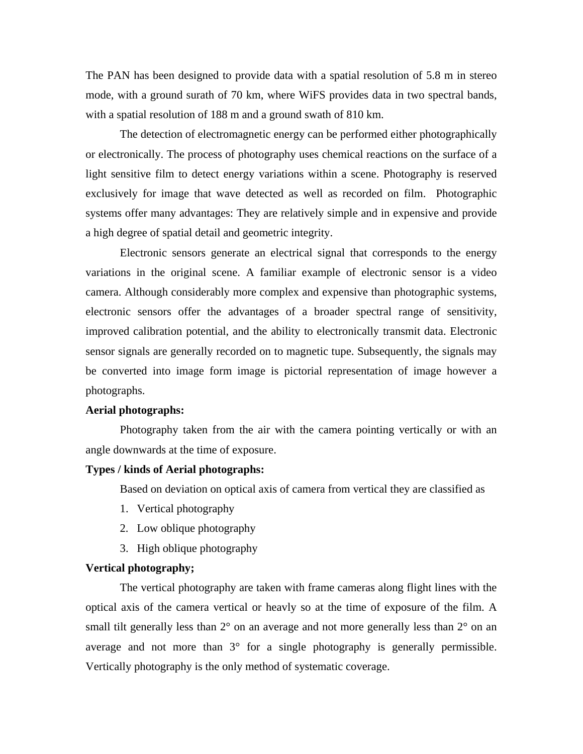The PAN has been designed to provide data with a spatial resolution of 5.8 m in stereo mode, with a ground surath of 70 km, where WiFS provides data in two spectral bands, with a spatial resolution of 188 m and a ground swath of 810 km.

The detection of electromagnetic energy can be performed either photographically or electronically. The process of photography uses chemical reactions on the surface of a light sensitive film to detect energy variations within a scene. Photography is reserved exclusively for image that wave detected as well as recorded on film. Photographic systems offer many advantages: They are relatively simple and in expensive and provide a high degree of spatial detail and geometric integrity.

 Electronic sensors generate an electrical signal that corresponds to the energy variations in the original scene. A familiar example of electronic sensor is a video camera. Although considerably more complex and expensive than photographic systems, electronic sensors offer the advantages of a broader spectral range of sensitivity, improved calibration potential, and the ability to electronically transmit data. Electronic sensor signals are generally recorded on to magnetic tupe. Subsequently, the signals may be converted into image form image is pictorial representation of image however a photographs.

#### **Aerial photographs:**

 Photography taken from the air with the camera pointing vertically or with an angle downwards at the time of exposure.

#### **Types / kinds of Aerial photographs:**

Based on deviation on optical axis of camera from vertical they are classified as

- 1. Vertical photography
- 2. Low oblique photography
- 3. High oblique photography

#### **Vertical photography;**

 The vertical photography are taken with frame cameras along flight lines with the optical axis of the camera vertical or heavly so at the time of exposure of the film. A small tilt generally less than  $2^{\circ}$  on an average and not more generally less than  $2^{\circ}$  on an average and not more than 3° for a single photography is generally permissible. Vertically photography is the only method of systematic coverage.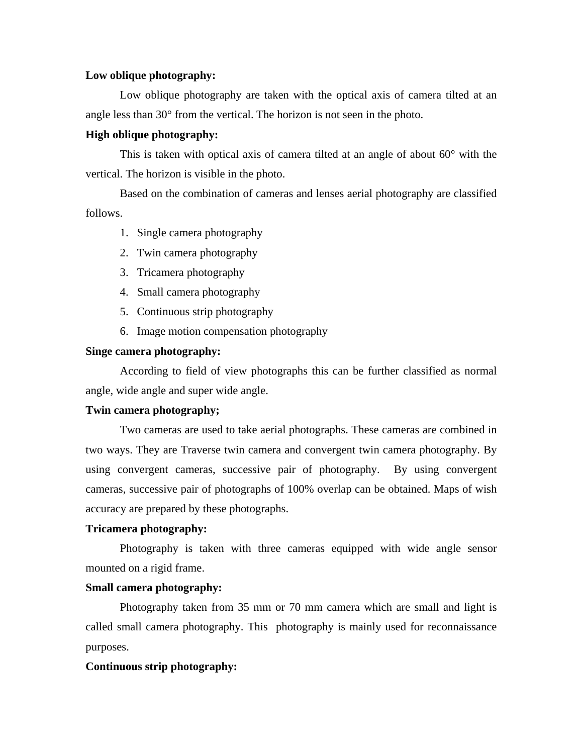### **Low oblique photography:**

Low oblique photography are taken with the optical axis of camera tilted at an angle less than 30° from the vertical. The horizon is not seen in the photo.

#### **High oblique photography:**

This is taken with optical axis of camera tilted at an angle of about  $60^{\circ}$  with the vertical. The horizon is visible in the photo.

 Based on the combination of cameras and lenses aerial photography are classified follows.

- 1. Single camera photography
- 2. Twin camera photography
- 3. Tricamera photography
- 4. Small camera photography
- 5. Continuous strip photography
- 6. Image motion compensation photography

#### **Singe camera photography:**

According to field of view photographs this can be further classified as normal angle, wide angle and super wide angle.

#### **Twin camera photography;**

Two cameras are used to take aerial photographs. These cameras are combined in two ways. They are Traverse twin camera and convergent twin camera photography. By using convergent cameras, successive pair of photography. By using convergent cameras, successive pair of photographs of 100% overlap can be obtained. Maps of wish accuracy are prepared by these photographs.

#### **Tricamera photography:**

Photography is taken with three cameras equipped with wide angle sensor mounted on a rigid frame.

#### **Small camera photography:**

Photography taken from 35 mm or 70 mm camera which are small and light is called small camera photography. This photography is mainly used for reconnaissance purposes.

#### **Continuous strip photography:**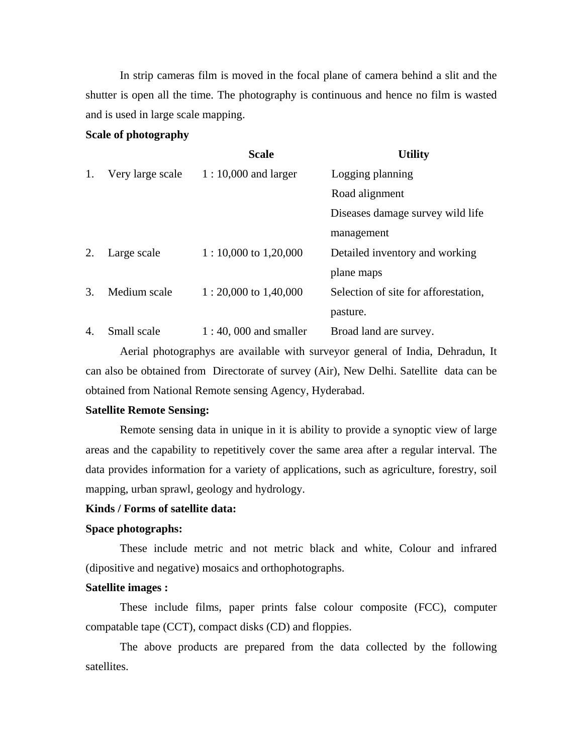In strip cameras film is moved in the focal plane of camera behind a slit and the shutter is open all the time. The photography is continuous and hence no film is wasted and is used in large scale mapping.

#### **Scale of photography**

|    |                  | <b>Scale</b>             | <b>Utility</b>                       |
|----|------------------|--------------------------|--------------------------------------|
| 1. | Very large scale | $1:10,000$ and larger    | Logging planning                     |
|    |                  |                          | Road alignment                       |
|    |                  |                          | Diseases damage survey wild life     |
|    |                  |                          | management                           |
| 2. | Large scale      | $1:10,000$ to 1,20,000   | Detailed inventory and working       |
|    |                  |                          | plane maps                           |
| 3. | Medium scale     | $1:20,000$ to $1,40,000$ | Selection of site for afforestation, |
|    |                  |                          | pasture.                             |
| 4. | Small scale      | $1:40,000$ and smaller   | Broad land are survey.               |

 Aerial photographys are available with surveyor general of India, Dehradun, It can also be obtained from Directorate of survey (Air), New Delhi. Satellite data can be obtained from National Remote sensing Agency, Hyderabad.

# **Satellite Remote Sensing:**

 Remote sensing data in unique in it is ability to provide a synoptic view of large areas and the capability to repetitively cover the same area after a regular interval. The data provides information for a variety of applications, such as agriculture, forestry, soil mapping, urban sprawl, geology and hydrology.

#### **Kinds / Forms of satellite data:**

# **Space photographs:**

These include metric and not metric black and white, Colour and infrared (dipositive and negative) mosaics and orthophotographs.

# **Satellite images :**

These include films, paper prints false colour composite (FCC), computer compatable tape (CCT), compact disks (CD) and floppies.

 The above products are prepared from the data collected by the following satellites.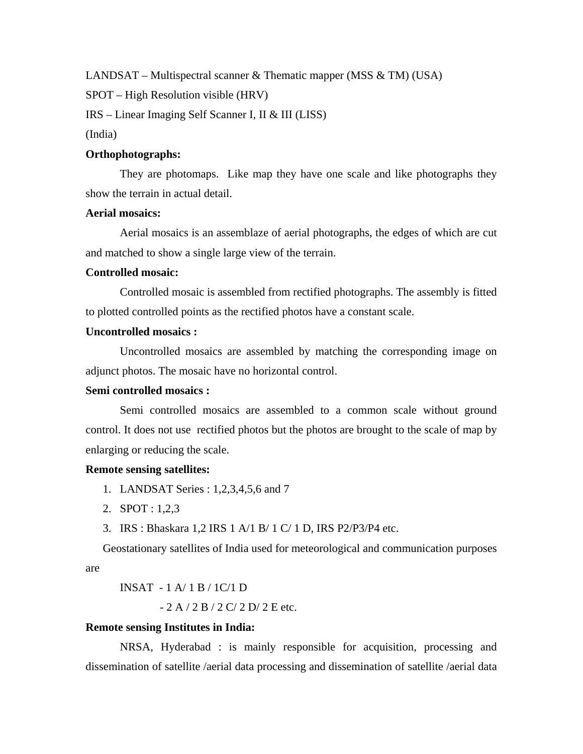LANDSAT – Multispectral scanner & Thematic mapper (MSS  $\&$  TM) (USA)

SPOT – High Resolution visible (HRV)

IRS – Linear Imaging Self Scanner I, II & III (LISS)

(India)

### **Orthophotographs:**

They are photomaps. Like map they have one scale and like photographs they show the terrain in actual detail.

#### **Aerial mosaics:**

Aerial mosaics is an assemblaze of aerial photographs, the edges of which are cut and matched to show a single large view of the terrain.

# **Controlled mosaic:**

Controlled mosaic is assembled from rectified photographs. The assembly is fitted to plotted controlled points as the rectified photos have a constant scale.

# **Uncontrolled mosaics :**

Uncontrolled mosaics are assembled by matching the corresponding image on adjunct photos. The mosaic have no horizontal control.

#### **Semi controlled mosaics :**

Semi controlled mosaics are assembled to a common scale without ground control. It does not use rectified photos but the photos are brought to the scale of map by enlarging or reducing the scale.

#### **Remote sensing satellites:**

- 1. LANDSAT Series : 1,2,3,4,5,6 and 7
- 2. SPOT : 1,2,3
- 3. IRS : Bhaskara 1,2 IRS 1 A/1 B/ 1 C/ 1 D, IRS P2/P3/P4 etc.

Geostationary satellites of India used for meteorological and communication purposes are

$$
INSAT - 1 A/1 B/1 C/1 D
$$

- 2 A / 2 B / 2 C/ 2 D/ 2 E etc.

#### **Remote sensing Institutes in India:**

 NRSA, Hyderabad : is mainly responsible for acquisition, processing and dissemination of satellite /aerial data processing and dissemination of satellite /aerial data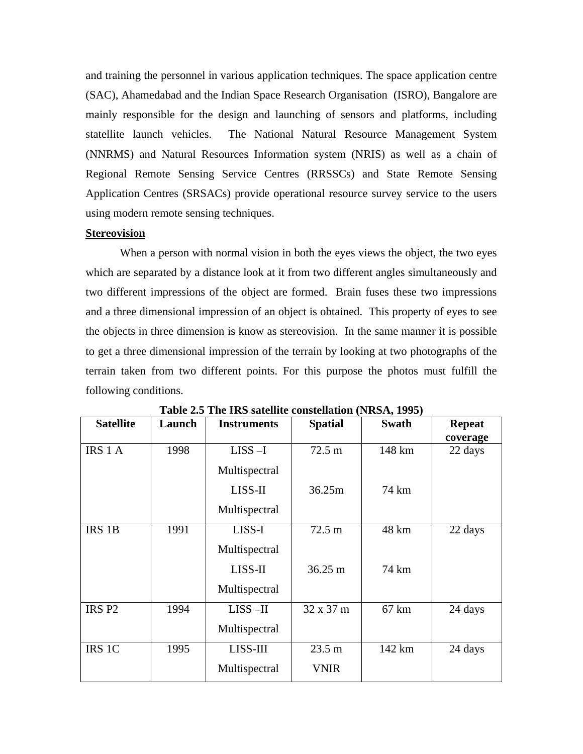and training the personnel in various application techniques. The space application centre (SAC), Ahamedabad and the Indian Space Research Organisation (ISRO), Bangalore are mainly responsible for the design and launching of sensors and platforms, including statellite launch vehicles. The National Natural Resource Management System (NNRMS) and Natural Resources Information system (NRIS) as well as a chain of Regional Remote Sensing Service Centres (RRSSCs) and State Remote Sensing Application Centres (SRSACs) provide operational resource survey service to the users using modern remote sensing techniques.

#### **Stereovision**

 When a person with normal vision in both the eyes views the object, the two eyes which are separated by a distance look at it from two different angles simultaneously and two different impressions of the object are formed. Brain fuses these two impressions and a three dimensional impression of an object is obtained. This property of eyes to see the objects in three dimension is know as stereovision. In the same manner it is possible to get a three dimensional impression of the terrain by looking at two photographs of the terrain taken from two different points. For this purpose the photos must fulfill the following conditions.

| <b>Satellite</b>  | Launch | <b>Instruments</b> | <b>Spatial</b>    | <b>Swath</b>    | <b>Repeat</b> |
|-------------------|--------|--------------------|-------------------|-----------------|---------------|
|                   |        |                    |                   |                 | coverage      |
| IRS 1 A           | 1998   | $LISS-I$           | $72.5 \text{ m}$  | 148 km          | 22 days       |
|                   |        | Multispectral      |                   |                 |               |
|                   |        | LISS-II            | 36.25m            | 74 km           |               |
|                   |        | Multispectral      |                   |                 |               |
| IRS 1B            | 1991   | LISS-I             | $72.5 \text{ m}$  | 48 km           | 22 days       |
|                   |        | Multispectral      |                   |                 |               |
|                   |        | LISS-II            | $36.25 \text{ m}$ | 74 km           |               |
|                   |        | Multispectral      |                   |                 |               |
| IRS <sub>P2</sub> | 1994   | $LISS - II$        | $32 \times 37$ m  | $67 \text{ km}$ | 24 days       |
|                   |        | Multispectral      |                   |                 |               |
| IRS 1C            | 1995   | LISS-III           | $23.5 \text{ m}$  | 142 km          | 24 days       |
|                   |        | Multispectral      | <b>VNIR</b>       |                 |               |

**Table 2.5 The IRS satellite constellation (NRSA, 1995)**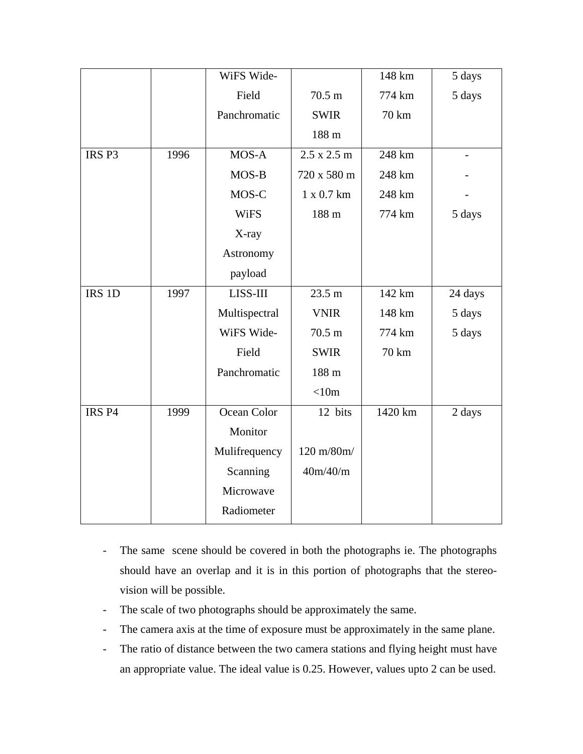|                   |      | WiFS Wide-    |                    | 148 km  | 5 days                   |
|-------------------|------|---------------|--------------------|---------|--------------------------|
|                   |      | Field         | $70.5 \text{ m}$   | 774 km  | 5 days                   |
|                   |      | Panchromatic  | <b>SWIR</b>        | 70 km   |                          |
|                   |      |               | 188 m              |         |                          |
| IRS <sub>P3</sub> | 1996 | MOS-A         | $2.5 \times 2.5$ m | 248 km  | $\overline{\phantom{0}}$ |
|                   |      | MOS-B         | 720 x 580 m        | 248 km  |                          |
|                   |      | MOS-C         | 1 x 0.7 km         | 248 km  |                          |
|                   |      | <b>WiFS</b>   | 188 m              | 774 km  | 5 days                   |
|                   |      | X-ray         |                    |         |                          |
|                   |      | Astronomy     |                    |         |                          |
|                   |      | payload       |                    |         |                          |
| IRS 1D            | 1997 | LISS-III      | 23.5 m             | 142 km  | 24 days                  |
|                   |      | Multispectral | <b>VNIR</b>        | 148 km  | 5 days                   |
|                   |      | WiFS Wide-    | $70.5 \text{ m}$   | 774 km  | 5 days                   |
|                   |      | Field         | <b>SWIR</b>        | 70 km   |                          |
|                   |      | Panchromatic  | 188 m              |         |                          |
|                   |      |               | < 10m              |         |                          |
| IRS <sub>P4</sub> | 1999 | Ocean Color   | 12 bits            | 1420 km | 2 days                   |
|                   |      | Monitor       |                    |         |                          |
|                   |      | Mulifrequency | 120 m/80m/         |         |                          |
|                   |      | Scanning      | 40m/40/m           |         |                          |
|                   |      | Microwave     |                    |         |                          |
|                   |      | Radiometer    |                    |         |                          |

- The same scene should be covered in both the photographs ie. The photographs should have an overlap and it is in this portion of photographs that the stereovision will be possible.
- The scale of two photographs should be approximately the same.
- The camera axis at the time of exposure must be approximately in the same plane.
- The ratio of distance between the two camera stations and flying height must have an appropriate value. The ideal value is 0.25. However, values upto 2 can be used.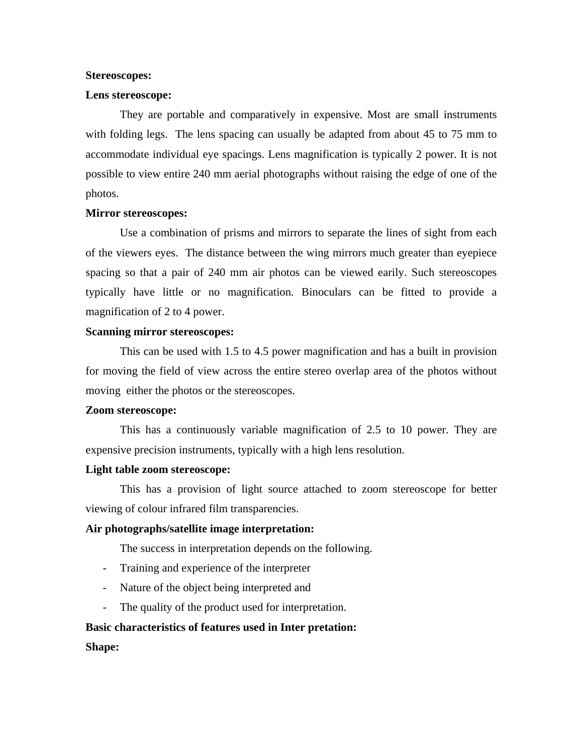#### **Stereoscopes:**

#### **Lens stereoscope:**

They are portable and comparatively in expensive. Most are small instruments with folding legs. The lens spacing can usually be adapted from about 45 to 75 mm to accommodate individual eye spacings. Lens magnification is typically 2 power. It is not possible to view entire 240 mm aerial photographs without raising the edge of one of the photos.

#### **Mirror stereoscopes:**

Use a combination of prisms and mirrors to separate the lines of sight from each of the viewers eyes. The distance between the wing mirrors much greater than eyepiece spacing so that a pair of 240 mm air photos can be viewed earily. Such stereoscopes typically have little or no magnification. Binoculars can be fitted to provide a magnification of 2 to 4 power.

#### **Scanning mirror stereoscopes:**

This can be used with 1.5 to 4.5 power magnification and has a built in provision for moving the field of view across the entire stereo overlap area of the photos without moving either the photos or the stereoscopes.

#### **Zoom stereoscope:**

This has a continuously variable magnification of 2.5 to 10 power. They are expensive precision instruments, typically with a high lens resolution.

#### **Light table zoom stereoscope:**

This has a provision of light source attached to zoom stereoscope for better viewing of colour infrared film transparencies.

# **Air photographs/satellite image interpretation:**

The success in interpretation depends on the following.

- Training and experience of the interpreter
- Nature of the object being interpreted and
- The quality of the product used for interpretation.

# **Basic characteristics of features used in Inter pretation:**

**Shape:**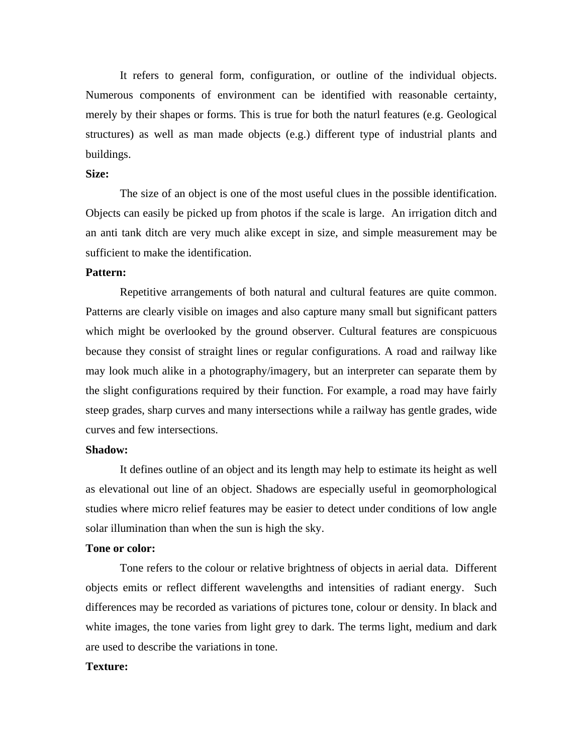It refers to general form, configuration, or outline of the individual objects. Numerous components of environment can be identified with reasonable certainty, merely by their shapes or forms. This is true for both the naturl features (e.g. Geological structures) as well as man made objects (e.g.) different type of industrial plants and buildings.

# **Size:**

The size of an object is one of the most useful clues in the possible identification. Objects can easily be picked up from photos if the scale is large. An irrigation ditch and an anti tank ditch are very much alike except in size, and simple measurement may be sufficient to make the identification.

# **Pattern:**

Repetitive arrangements of both natural and cultural features are quite common. Patterns are clearly visible on images and also capture many small but significant patters which might be overlooked by the ground observer. Cultural features are conspicuous because they consist of straight lines or regular configurations. A road and railway like may look much alike in a photography/imagery, but an interpreter can separate them by the slight configurations required by their function. For example, a road may have fairly steep grades, sharp curves and many intersections while a railway has gentle grades, wide curves and few intersections.

#### **Shadow:**

It defines outline of an object and its length may help to estimate its height as well as elevational out line of an object. Shadows are especially useful in geomorphological studies where micro relief features may be easier to detect under conditions of low angle solar illumination than when the sun is high the sky.

#### **Tone or color:**

Tone refers to the colour or relative brightness of objects in aerial data. Different objects emits or reflect different wavelengths and intensities of radiant energy. Such differences may be recorded as variations of pictures tone, colour or density. In black and white images, the tone varies from light grey to dark. The terms light, medium and dark are used to describe the variations in tone.

#### **Texture:**